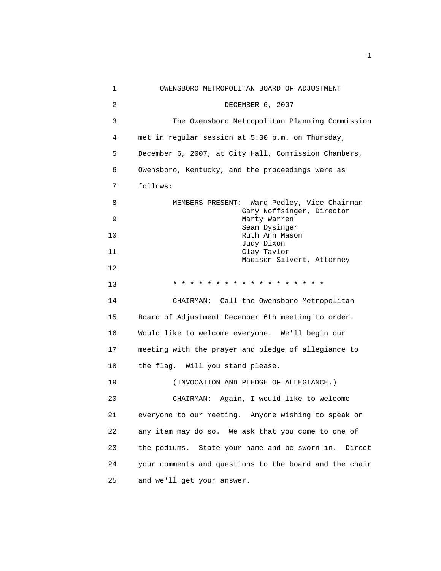| 1  | OWENSBORO METROPOLITAN BOARD OF ADJUSTMENT              |
|----|---------------------------------------------------------|
| 2  | DECEMBER 6, 2007                                        |
| 3  | The Owensboro Metropolitan Planning Commission          |
| 4  | met in regular session at 5:30 p.m. on Thursday,        |
| 5  | December 6, 2007, at City Hall, Commission Chambers,    |
| 6  | Owensboro, Kentucky, and the proceedings were as        |
| 7  | follows:                                                |
| 8  | MEMBERS PRESENT: Ward Pedley, Vice Chairman             |
| 9  | Gary Noffsinger, Director<br>Marty Warren               |
| 10 | Sean Dysinger<br>Ruth Ann Mason                         |
| 11 | Judy Dixon<br>Clay Taylor                               |
| 12 | Madison Silvert, Attorney                               |
| 13 | * * * * * * * * * * * * * * * * * *                     |
| 14 | CHAIRMAN: Call the Owensboro Metropolitan               |
| 15 | Board of Adjustment December 6th meeting to order.      |
| 16 | Would like to welcome everyone. We'll begin our         |
| 17 | meeting with the prayer and pledge of allegiance to     |
| 18 | the flag. Will you stand please.                        |
| 19 | (INVOCATION AND PLEDGE OF ALLEGIANCE.)                  |
| 20 | CHAIRMAN: Again, I would like to welcome                |
| 21 | everyone to our meeting. Anyone wishing to speak on     |
| 22 | any item may do so. We ask that you come to one of      |
| 23 | the podiums. State your name and be sworn in.<br>Direct |
| 24 | your comments and questions to the board and the chair  |
| 25 | and we'll get your answer.                              |

the contract of the contract of the contract of the contract of the contract of the contract of the contract of the contract of the contract of the contract of the contract of the contract of the contract of the contract o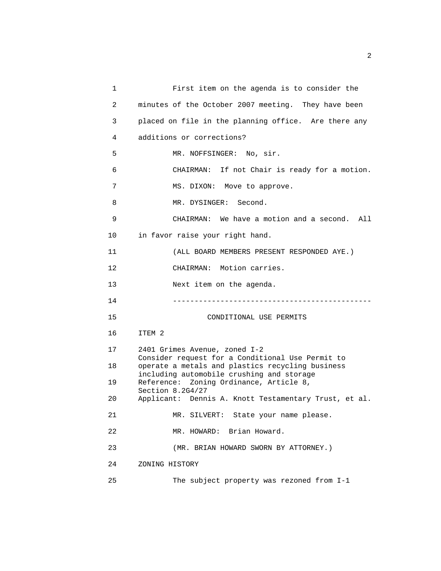| 1              | First item on the agenda is to consider the                                                          |
|----------------|------------------------------------------------------------------------------------------------------|
| $\overline{2}$ | minutes of the October 2007 meeting. They have been                                                  |
| 3              | placed on file in the planning office. Are there any                                                 |
| 4              | additions or corrections?                                                                            |
| 5              | MR. NOFFSINGER: No, sir.                                                                             |
| 6              | CHAIRMAN: If not Chair is ready for a motion.                                                        |
| 7              | MS. DIXON: Move to approve.                                                                          |
| 8              | MR. DYSINGER: Second.                                                                                |
| 9              | CHAIRMAN: We have a motion and a second. All                                                         |
| 10             | in favor raise your right hand.                                                                      |
| 11             | (ALL BOARD MEMBERS PRESENT RESPONDED AYE.)                                                           |
| 12             | CHAIRMAN: Motion carries.                                                                            |
| 13             | Next item on the agenda.                                                                             |
| 14             | ----------------------------------                                                                   |
| 15             | CONDITIONAL USE PERMITS                                                                              |
| 16             | ITEM 2                                                                                               |
| 17             | 2401 Grimes Avenue, zoned I-2                                                                        |
| 18             | Consider request for a Conditional Use Permit to<br>operate a metals and plastics recycling business |
| 19             | including automobile crushing and storage<br>Reference: Zoning Ordinance, Article 8,                 |
| 20             | Section 8.2G4/27<br>Applicant: Dennis A. Knott Testamentary Trust, et al.                            |
| 21             | MR. SILVERT: State your name please.                                                                 |
| 22             | MR. HOWARD: Brian Howard.                                                                            |
| 23             | (MR. BRIAN HOWARD SWORN BY ATTORNEY.)                                                                |
| 24             | ZONING HISTORY                                                                                       |
| 25             | The subject property was rezoned from I-1                                                            |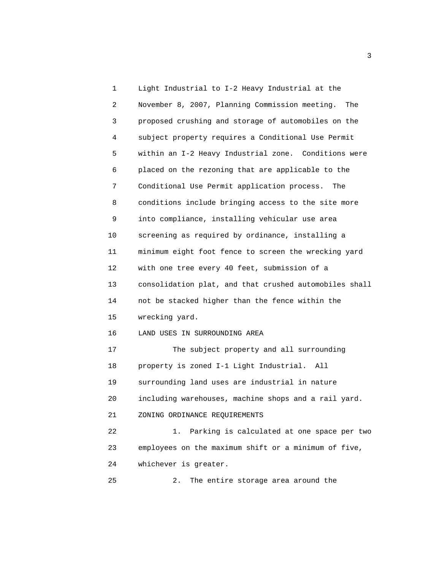1 Light Industrial to I-2 Heavy Industrial at the 2 November 8, 2007, Planning Commission meeting. The 3 proposed crushing and storage of automobiles on the 4 subject property requires a Conditional Use Permit 5 within an I-2 Heavy Industrial zone. Conditions were 6 placed on the rezoning that are applicable to the 7 Conditional Use Permit application process. The 8 conditions include bringing access to the site more 9 into compliance, installing vehicular use area 10 screening as required by ordinance, installing a 11 minimum eight foot fence to screen the wrecking yard 12 with one tree every 40 feet, submission of a 13 consolidation plat, and that crushed automobiles shall 14 not be stacked higher than the fence within the 15 wrecking yard. 16 LAND USES IN SURROUNDING AREA 17 The subject property and all surrounding 18 property is zoned I-1 Light Industrial. All 19 surrounding land uses are industrial in nature 20 including warehouses, machine shops and a rail yard. 21 ZONING ORDINANCE REQUIREMENTS 22 1. Parking is calculated at one space per two 23 employees on the maximum shift or a minimum of five, 24 whichever is greater. 25 2. The entire storage area around the

 $\sim$  3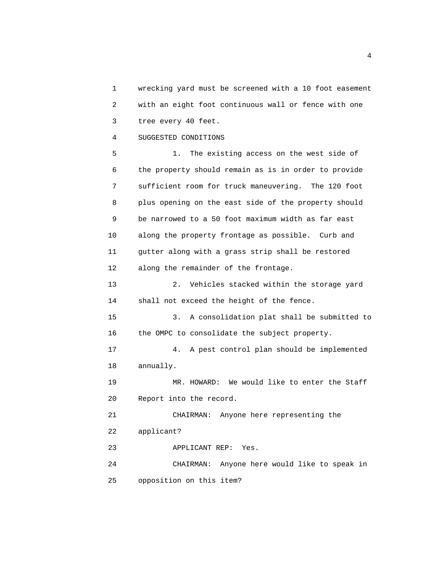1 wrecking yard must be screened with a 10 foot easement 2 with an eight foot continuous wall or fence with one 3 tree every 40 feet.

4 SUGGESTED CONDITIONS

 5 1. The existing access on the west side of 6 the property should remain as is in order to provide 7 sufficient room for truck maneuvering. The 120 foot 8 plus opening on the east side of the property should 9 be narrowed to a 50 foot maximum width as far east 10 along the property frontage as possible. Curb and 11 gutter along with a grass strip shall be restored 12 along the remainder of the frontage.

 13 2. Vehicles stacked within the storage yard 14 shall not exceed the height of the fence.

 15 3. A consolidation plat shall be submitted to 16 the OMPC to consolidate the subject property.

 17 4. A pest control plan should be implemented 18 annually.

 19 MR. HOWARD: We would like to enter the Staff 20 Report into the record.

 21 CHAIRMAN: Anyone here representing the 22 applicant?

23 APPLICANT REP: Yes.

 24 CHAIRMAN: Anyone here would like to speak in 25 opposition on this item?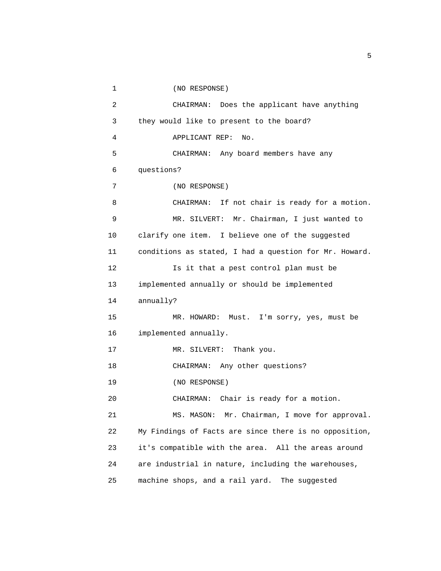```
 1 (NO RESPONSE) 
 2 CHAIRMAN: Does the applicant have anything 
 3 they would like to present to the board? 
 4 APPLICANT REP: No. 
 5 CHAIRMAN: Any board members have any 
 6 questions? 
 7 (NO RESPONSE) 
 8 CHAIRMAN: If not chair is ready for a motion. 
 9 MR. SILVERT: Mr. Chairman, I just wanted to 
 10 clarify one item. I believe one of the suggested 
 11 conditions as stated, I had a question for Mr. Howard. 
 12 Is it that a pest control plan must be 
 13 implemented annually or should be implemented 
 14 annually? 
 15 MR. HOWARD: Must. I'm sorry, yes, must be 
 16 implemented annually. 
17 MR. SILVERT: Thank you.
 18 CHAIRMAN: Any other questions? 
 19 (NO RESPONSE) 
 20 CHAIRMAN: Chair is ready for a motion. 
 21 MS. MASON: Mr. Chairman, I move for approval. 
 22 My Findings of Facts are since there is no opposition, 
 23 it's compatible with the area. All the areas around 
 24 are industrial in nature, including the warehouses, 
 25 machine shops, and a rail yard. The suggested
```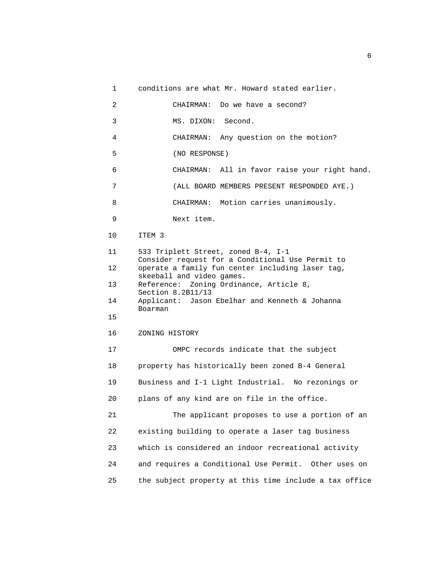1 conditions are what Mr. Howard stated earlier.

 2 CHAIRMAN: Do we have a second? 3 MS. DIXON: Second. 4 CHAIRMAN: Any question on the motion? 5 (NO RESPONSE) 6 CHAIRMAN: All in favor raise your right hand. 7 (ALL BOARD MEMBERS PRESENT RESPONDED AYE.) 8 CHAIRMAN: Motion carries unanimously. 9 Next item. 10 ITEM 3 11 533 Triplett Street, zoned B-4, I-1 Consider request for a Conditional Use Permit to 12 operate a family fun center including laser tag, skeeball and video games. 13 Reference: Zoning Ordinance, Article 8, Section 8.2B11/13 14 Applicant: Jason Ebelhar and Kenneth & Johanna Boarman 15 16 ZONING HISTORY 17 OMPC records indicate that the subject 18 property has historically been zoned B-4 General 19 Business and I-1 Light Industrial. No rezonings or 20 plans of any kind are on file in the office. 21 The applicant proposes to use a portion of an 22 existing building to operate a laser tag business 23 which is considered an indoor recreational activity 24 and requires a Conditional Use Permit. Other uses on 25 the subject property at this time include a tax office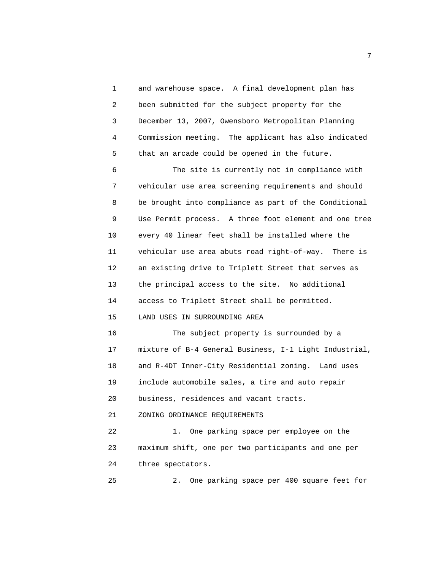1 and warehouse space. A final development plan has 2 been submitted for the subject property for the 3 December 13, 2007, Owensboro Metropolitan Planning 4 Commission meeting. The applicant has also indicated 5 that an arcade could be opened in the future.

 6 The site is currently not in compliance with 7 vehicular use area screening requirements and should 8 be brought into compliance as part of the Conditional 9 Use Permit process. A three foot element and one tree 10 every 40 linear feet shall be installed where the 11 vehicular use area abuts road right-of-way. There is 12 an existing drive to Triplett Street that serves as 13 the principal access to the site. No additional 14 access to Triplett Street shall be permitted. 15 LAND USES IN SURROUNDING AREA

 16 The subject property is surrounded by a 17 mixture of B-4 General Business, I-1 Light Industrial, 18 and R-4DT Inner-City Residential zoning. Land uses 19 include automobile sales, a tire and auto repair 20 business, residences and vacant tracts.

21 ZONING ORDINANCE REQUIREMENTS

 22 1. One parking space per employee on the 23 maximum shift, one per two participants and one per 24 three spectators.

25 2. One parking space per 400 square feet for

<u>2</u> The contract of the contract of the contract of the contract of the contract of the contract of the contract of the contract of the contract of the contract of the contract of the contract of the contract of the contra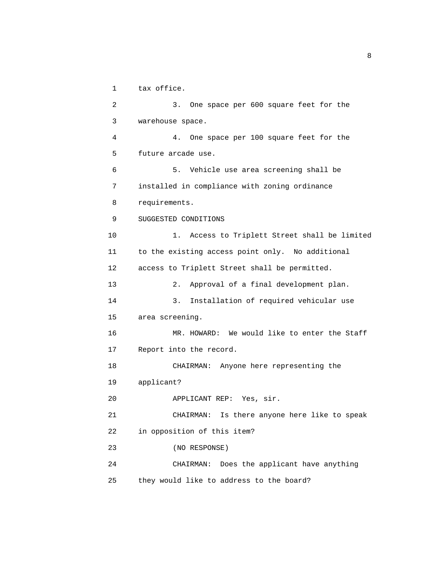1 tax office.

 2 3. One space per 600 square feet for the 3 warehouse space. 4 4. One space per 100 square feet for the 5 future arcade use. 6 5. Vehicle use area screening shall be 7 installed in compliance with zoning ordinance 8 requirements. 9 SUGGESTED CONDITIONS 10 1. Access to Triplett Street shall be limited 11 to the existing access point only. No additional 12 access to Triplett Street shall be permitted. 13 2. Approval of a final development plan. 14 3. Installation of required vehicular use 15 area screening. 16 MR. HOWARD: We would like to enter the Staff 17 Report into the record. 18 CHAIRMAN: Anyone here representing the 19 applicant? 20 APPLICANT REP: Yes, sir. 21 CHAIRMAN: Is there anyone here like to speak 22 in opposition of this item? 23 (NO RESPONSE) 24 CHAIRMAN: Does the applicant have anything 25 they would like to address to the board?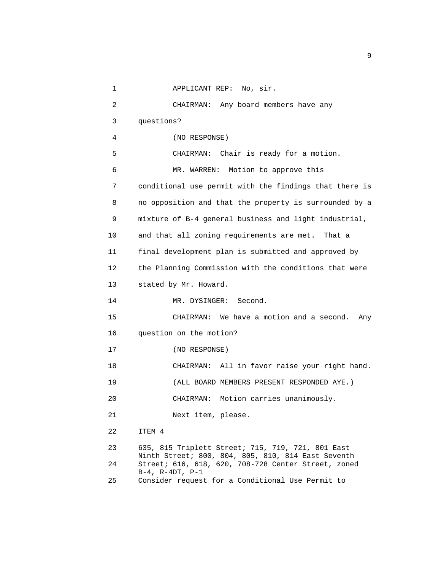```
 1 APPLICANT REP: No, sir. 
 2 CHAIRMAN: Any board members have any 
 3 questions? 
  4 (NO RESPONSE) 
 5 CHAIRMAN: Chair is ready for a motion. 
 6 MR. WARREN: Motion to approve this 
 7 conditional use permit with the findings that there is 
 8 no opposition and that the property is surrounded by a 
 9 mixture of B-4 general business and light industrial, 
 10 and that all zoning requirements are met. That a 
 11 final development plan is submitted and approved by 
 12 the Planning Commission with the conditions that were 
 13 stated by Mr. Howard. 
14 MR. DYSINGER: Second.
 15 CHAIRMAN: We have a motion and a second. Any 
 16 question on the motion? 
 17 (NO RESPONSE) 
 18 CHAIRMAN: All in favor raise your right hand. 
 19 (ALL BOARD MEMBERS PRESENT RESPONDED AYE.) 
 20 CHAIRMAN: Motion carries unanimously. 
 21 Next item, please. 
 22 ITEM 4 
 23 635, 815 Triplett Street; 715, 719, 721, 801 East 
       Ninth Street; 800, 804, 805, 810, 814 East Seventh 
 24 Street; 616, 618, 620, 708-728 Center Street, zoned 
       B-4, R-4DT, P-1 
 25 Consider request for a Conditional Use Permit to
```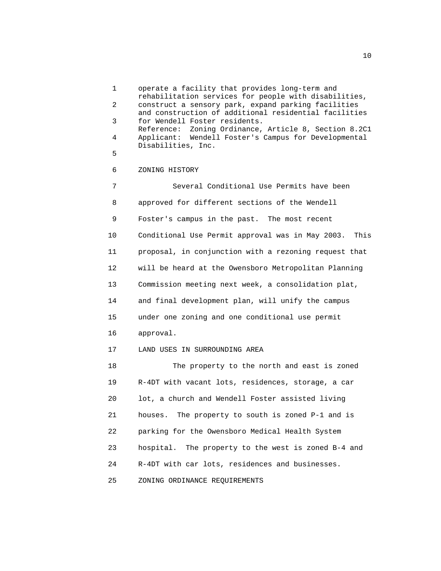1 operate a facility that provides long-term and rehabilitation services for people with disabilities, 2 construct a sensory park, expand parking facilities and construction of additional residential facilities 3 for Wendell Foster residents. Reference: Zoning Ordinance, Article 8, Section 8.2C1 4 Applicant: Wendell Foster's Campus for Developmental Disabilities, Inc. 5 6 ZONING HISTORY 7 Several Conditional Use Permits have been 8 approved for different sections of the Wendell 9 Foster's campus in the past. The most recent 10 Conditional Use Permit approval was in May 2003. This 11 proposal, in conjunction with a rezoning request that 12 will be heard at the Owensboro Metropolitan Planning 13 Commission meeting next week, a consolidation plat, 14 and final development plan, will unify the campus 15 under one zoning and one conditional use permit 16 approval. 17 LAND USES IN SURROUNDING AREA 18 The property to the north and east is zoned 19 R-4DT with vacant lots, residences, storage, a car 20 lot, a church and Wendell Foster assisted living 21 houses. The property to south is zoned P-1 and is 22 parking for the Owensboro Medical Health System 23 hospital. The property to the west is zoned B-4 and 24 R-4DT with car lots, residences and businesses. 25 ZONING ORDINANCE REQUIREMENTS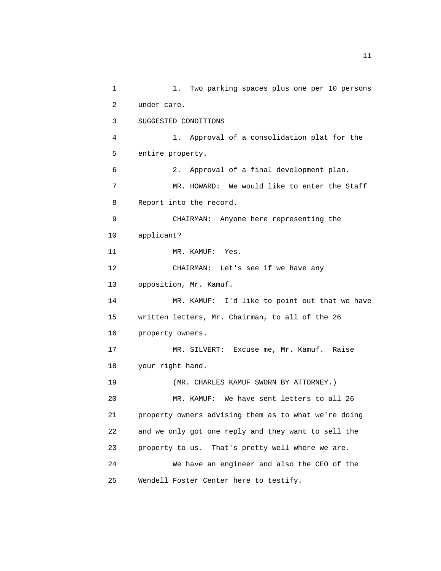1 1. Two parking spaces plus one per 10 persons 2 under care. 3 SUGGESTED CONDITIONS 4 1. Approval of a consolidation plat for the 5 entire property. 6 2. Approval of a final development plan. 7 MR. HOWARD: We would like to enter the Staff 8 Report into the record. 9 CHAIRMAN: Anyone here representing the 10 applicant? 11 MR. KAMUF: Yes. 12 CHAIRMAN: Let's see if we have any 13 opposition, Mr. Kamuf. 14 MR. KAMUF: I'd like to point out that we have 15 written letters, Mr. Chairman, to all of the 26 16 property owners. 17 MR. SILVERT: Excuse me, Mr. Kamuf. Raise 18 your right hand. 19 (MR. CHARLES KAMUF SWORN BY ATTORNEY.) 20 MR. KAMUF: We have sent letters to all 26 21 property owners advising them as to what we're doing 22 and we only got one reply and they want to sell the 23 property to us. That's pretty well where we are. 24 We have an engineer and also the CEO of the 25 Wendell Foster Center here to testify.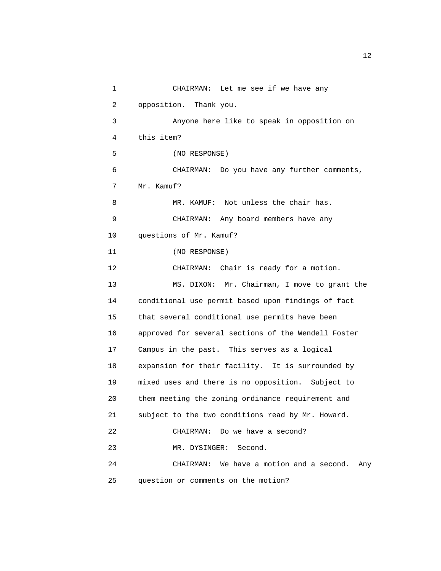1 CHAIRMAN: Let me see if we have any 2 opposition. Thank you. 3 Anyone here like to speak in opposition on 4 this item? 5 (NO RESPONSE) 6 CHAIRMAN: Do you have any further comments, 7 Mr. Kamuf? 8 MR. KAMUF: Not unless the chair has. 9 CHAIRMAN: Any board members have any 10 questions of Mr. Kamuf? 11 (NO RESPONSE) 12 CHAIRMAN: Chair is ready for a motion. 13 MS. DIXON: Mr. Chairman, I move to grant the 14 conditional use permit based upon findings of fact 15 that several conditional use permits have been 16 approved for several sections of the Wendell Foster 17 Campus in the past. This serves as a logical 18 expansion for their facility. It is surrounded by 19 mixed uses and there is no opposition. Subject to 20 them meeting the zoning ordinance requirement and 21 subject to the two conditions read by Mr. Howard. 22 CHAIRMAN: Do we have a second? 23 MR. DYSINGER: Second. 24 CHAIRMAN: We have a motion and a second. Any 25 question or comments on the motion?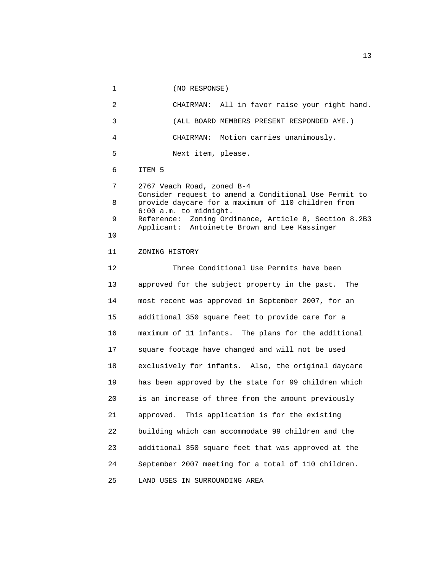1 (NO RESPONSE) 2 CHAIRMAN: All in favor raise your right hand. 3 (ALL BOARD MEMBERS PRESENT RESPONDED AYE.) 4 CHAIRMAN: Motion carries unanimously. 5 Next item, please. 6 ITEM 5 7 2767 Veach Road, zoned B-4 Consider request to amend a Conditional Use Permit to 8 provide daycare for a maximum of 110 children from 6:00 a.m. to midnight. 9 Reference: Zoning Ordinance, Article 8, Section 8.2B3 Applicant: Antoinette Brown and Lee Kassinger 10 11 ZONING HISTORY 12 Three Conditional Use Permits have been 13 approved for the subject property in the past. The 14 most recent was approved in September 2007, for an 15 additional 350 square feet to provide care for a 16 maximum of 11 infants. The plans for the additional 17 square footage have changed and will not be used 18 exclusively for infants. Also, the original daycare 19 has been approved by the state for 99 children which 20 is an increase of three from the amount previously 21 approved. This application is for the existing 22 building which can accommodate 99 children and the 23 additional 350 square feet that was approved at the 24 September 2007 meeting for a total of 110 children. 25 LAND USES IN SURROUNDING AREA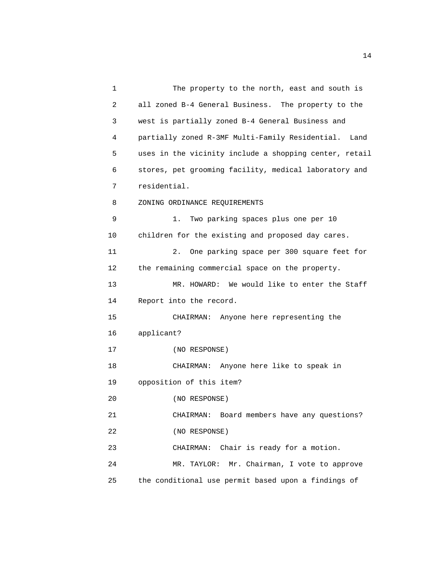1 The property to the north, east and south is 2 all zoned B-4 General Business. The property to the 3 west is partially zoned B-4 General Business and 4 partially zoned R-3MF Multi-Family Residential. Land 5 uses in the vicinity include a shopping center, retail 6 stores, pet grooming facility, medical laboratory and 7 residential. 8 ZONING ORDINANCE REQUIREMENTS 9 1. Two parking spaces plus one per 10 10 children for the existing and proposed day cares. 11 2. One parking space per 300 square feet for 12 the remaining commercial space on the property. 13 MR. HOWARD: We would like to enter the Staff 14 Report into the record. 15 CHAIRMAN: Anyone here representing the 16 applicant? 17 (NO RESPONSE) 18 CHAIRMAN: Anyone here like to speak in 19 opposition of this item? 20 (NO RESPONSE) 21 CHAIRMAN: Board members have any questions? 22 (NO RESPONSE) 23 CHAIRMAN: Chair is ready for a motion. 24 MR. TAYLOR: Mr. Chairman, I vote to approve 25 the conditional use permit based upon a findings of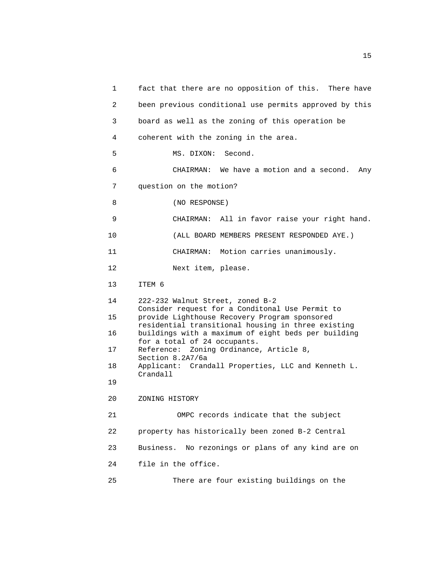1 fact that there are no opposition of this. There have 2 been previous conditional use permits approved by this 3 board as well as the zoning of this operation be 4 coherent with the zoning in the area. 5 MS. DIXON: Second. 6 CHAIRMAN: We have a motion and a second. Any 7 question on the motion? 8 (NO RESPONSE) 9 CHAIRMAN: All in favor raise your right hand. 10 (ALL BOARD MEMBERS PRESENT RESPONDED AYE.) 11 CHAIRMAN: Motion carries unanimously. 12 Next item, please. 13 ITEM 6 14 222-232 Walnut Street, zoned B-2 Consider request for a Conditonal Use Permit to 15 provide Lighthouse Recovery Program sponsored residential transitional housing in three existing 16 buildings with a maximum of eight beds per building for a total of 24 occupants. 17 Reference: Zoning Ordinance, Article 8, Section 8.2A7/6a 18 Applicant: Crandall Properties, LLC and Kenneth L. Crandall 19 20 ZONING HISTORY 21 OMPC records indicate that the subject 22 property has historically been zoned B-2 Central 23 Business. No rezonings or plans of any kind are on 24 file in the office. 25 There are four existing buildings on the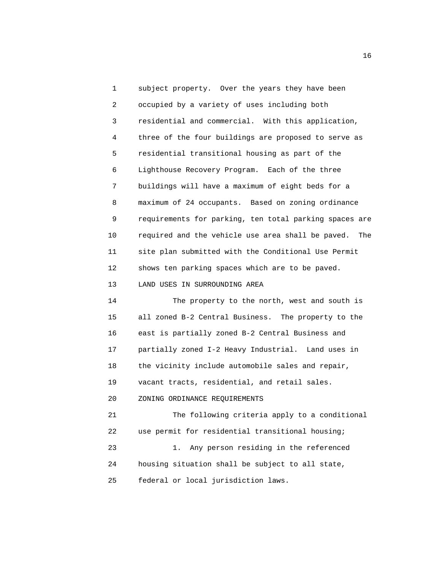1 subject property. Over the years they have been 2 occupied by a variety of uses including both 3 residential and commercial. With this application, 4 three of the four buildings are proposed to serve as 5 residential transitional housing as part of the 6 Lighthouse Recovery Program. Each of the three 7 buildings will have a maximum of eight beds for a 8 maximum of 24 occupants. Based on zoning ordinance 9 requirements for parking, ten total parking spaces are 10 required and the vehicle use area shall be paved. The 11 site plan submitted with the Conditional Use Permit 12 shows ten parking spaces which are to be paved. 13 LAND USES IN SURROUNDING AREA

 14 The property to the north, west and south is 15 all zoned B-2 Central Business. The property to the 16 east is partially zoned B-2 Central Business and 17 partially zoned I-2 Heavy Industrial. Land uses in 18 the vicinity include automobile sales and repair, 19 vacant tracts, residential, and retail sales. 20 ZONING ORDINANCE REQUIREMENTS 21 The following criteria apply to a conditional 22 use permit for residential transitional housing;

 23 1. Any person residing in the referenced 24 housing situation shall be subject to all state, 25 federal or local jurisdiction laws.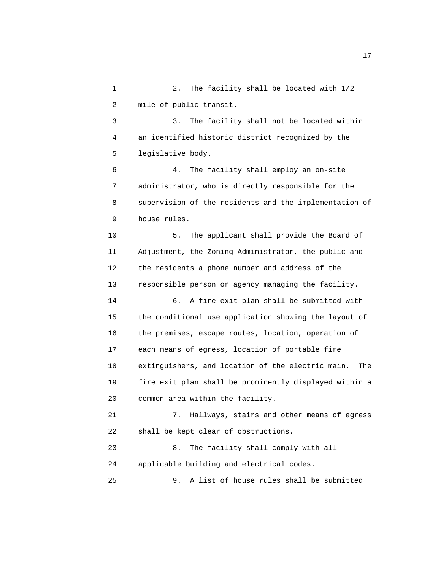1 2. The facility shall be located with 1/2 2 mile of public transit.

 3 3. The facility shall not be located within 4 an identified historic district recognized by the 5 legislative body.

 6 4. The facility shall employ an on-site 7 administrator, who is directly responsible for the 8 supervision of the residents and the implementation of 9 house rules.

 10 5. The applicant shall provide the Board of 11 Adjustment, the Zoning Administrator, the public and 12 the residents a phone number and address of the 13 responsible person or agency managing the facility. 14 6. A fire exit plan shall be submitted with 15 the conditional use application showing the layout of 16 the premises, escape routes, location, operation of 17 each means of egress, location of portable fire 18 extinguishers, and location of the electric main. The

 19 fire exit plan shall be prominently displayed within a 20 common area within the facility.

 21 7. Hallways, stairs and other means of egress 22 shall be kept clear of obstructions.

 23 8. The facility shall comply with all 24 applicable building and electrical codes.

25 9. A list of house rules shall be submitted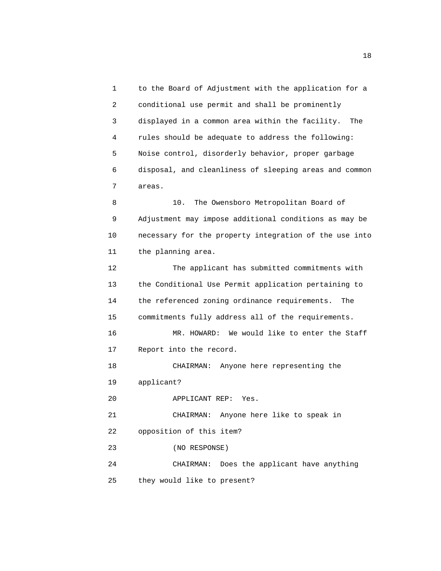1 to the Board of Adjustment with the application for a 2 conditional use permit and shall be prominently 3 displayed in a common area within the facility. The 4 rules should be adequate to address the following: 5 Noise control, disorderly behavior, proper garbage 6 disposal, and cleanliness of sleeping areas and common 7 areas.

 8 10. The Owensboro Metropolitan Board of 9 Adjustment may impose additional conditions as may be 10 necessary for the property integration of the use into 11 the planning area.

 12 The applicant has submitted commitments with 13 the Conditional Use Permit application pertaining to 14 the referenced zoning ordinance requirements. The 15 commitments fully address all of the requirements. 16 MR. HOWARD: We would like to enter the Staff 17 Report into the record. 18 CHAIRMAN: Anyone here representing the 19 applicant? 20 APPLICANT REP: Yes. 21 CHAIRMAN: Anyone here like to speak in 22 opposition of this item? 23 (NO RESPONSE) 24 CHAIRMAN: Does the applicant have anything

25 they would like to present?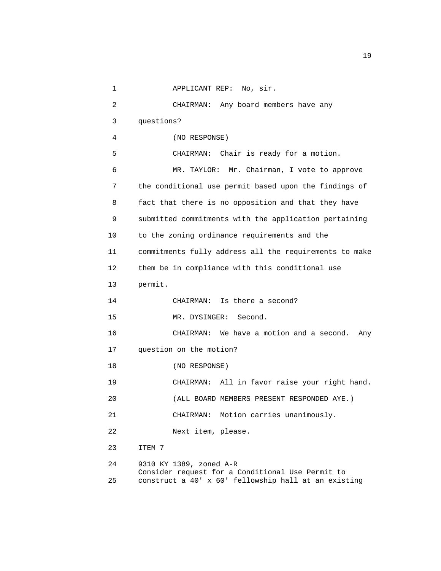```
 1 APPLICANT REP: No, sir. 
 2 CHAIRMAN: Any board members have any 
 3 questions? 
  4 (NO RESPONSE) 
 5 CHAIRMAN: Chair is ready for a motion. 
 6 MR. TAYLOR: Mr. Chairman, I vote to approve 
 7 the conditional use permit based upon the findings of 
 8 fact that there is no opposition and that they have 
 9 submitted commitments with the application pertaining 
 10 to the zoning ordinance requirements and the 
 11 commitments fully address all the requirements to make 
 12 them be in compliance with this conditional use 
 13 permit. 
 14 CHAIRMAN: Is there a second? 
 15 MR. DYSINGER: Second. 
 16 CHAIRMAN: We have a motion and a second. Any 
 17 question on the motion? 
 18 (NO RESPONSE) 
 19 CHAIRMAN: All in favor raise your right hand. 
 20 (ALL BOARD MEMBERS PRESENT RESPONDED AYE.) 
 21 CHAIRMAN: Motion carries unanimously. 
 22 Next item, please. 
 23 ITEM 7 
 24 9310 KY 1389, zoned A-R 
       Consider request for a Conditional Use Permit to 
 25 construct a 40' x 60' fellowship hall at an existing
```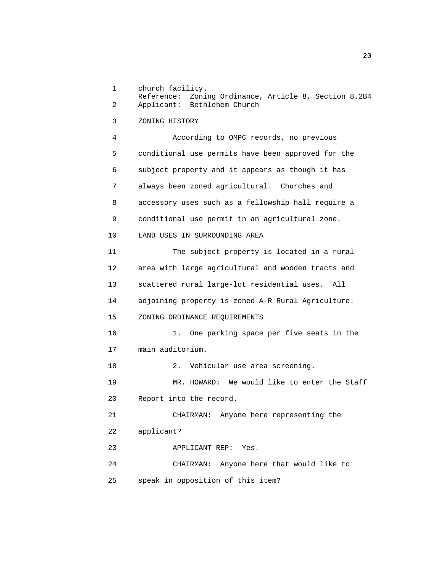1 church facility. Reference: Zoning Ordinance, Article 8, Section 8.2B4 2 Applicant: Bethlehem Church 3 ZONING HISTORY 4 According to OMPC records, no previous 5 conditional use permits have been approved for the 6 subject property and it appears as though it has 7 always been zoned agricultural. Churches and 8 accessory uses such as a fellowship hall require a 9 conditional use permit in an agricultural zone. 10 LAND USES IN SURROUNDING AREA 11 The subject property is located in a rural 12 area with large agricultural and wooden tracts and 13 scattered rural large-lot residential uses. All 14 adjoining property is zoned A-R Rural Agriculture. 15 ZONING ORDINANCE REQUIREMENTS 16 1. One parking space per five seats in the 17 main auditorium. 18 2. Vehicular use area screening. 19 MR. HOWARD: We would like to enter the Staff 20 Report into the record. 21 CHAIRMAN: Anyone here representing the 22 applicant? 23 APPLICANT REP: Yes. 24 CHAIRMAN: Anyone here that would like to 25 speak in opposition of this item?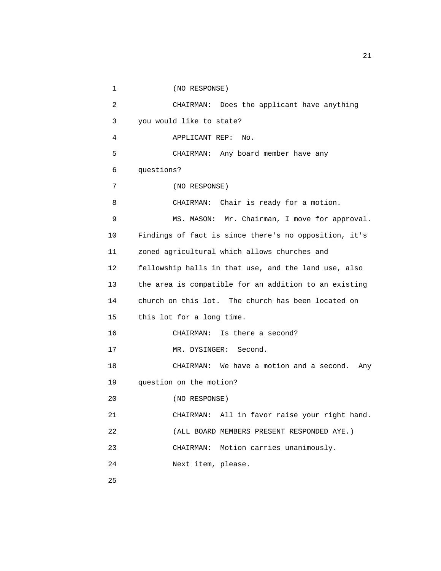```
 1 (NO RESPONSE) 
 2 CHAIRMAN: Does the applicant have anything 
 3 you would like to state? 
  4 APPLICANT REP: No. 
 5 CHAIRMAN: Any board member have any 
 6 questions? 
 7 (NO RESPONSE) 
 8 CHAIRMAN: Chair is ready for a motion. 
 9 MS. MASON: Mr. Chairman, I move for approval. 
 10 Findings of fact is since there's no opposition, it's 
 11 zoned agricultural which allows churches and 
 12 fellowship halls in that use, and the land use, also 
 13 the area is compatible for an addition to an existing 
 14 church on this lot. The church has been located on 
 15 this lot for a long time. 
 16 CHAIRMAN: Is there a second? 
17 MR. DYSINGER: Second.
 18 CHAIRMAN: We have a motion and a second. Any 
 19 question on the motion? 
 20 (NO RESPONSE) 
 21 CHAIRMAN: All in favor raise your right hand. 
 22 (ALL BOARD MEMBERS PRESENT RESPONDED AYE.) 
 23 CHAIRMAN: Motion carries unanimously. 
 24 Next item, please. 
 25
```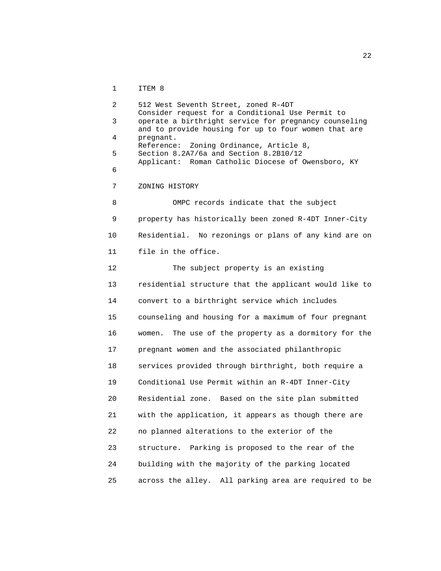1 ITEM 8

 2 512 West Seventh Street, zoned R-4DT Consider request for a Conditional Use Permit to 3 operate a birthright service for pregnancy counseling and to provide housing for up to four women that are 4 pregnant. Reference: Zoning Ordinance, Article 8, 5 Section 8.2A7/6a and Section 8.2B10/12 Applicant: Roman Catholic Diocese of Owensboro, KY 6 7 ZONING HISTORY 8 OMPC records indicate that the subject 9 property has historically been zoned R-4DT Inner-City 10 Residential. No rezonings or plans of any kind are on 11 file in the office. 12 The subject property is an existing 13 residential structure that the applicant would like to 14 convert to a birthright service which includes 15 counseling and housing for a maximum of four pregnant 16 women. The use of the property as a dormitory for the 17 pregnant women and the associated philanthropic 18 services provided through birthright, both require a 19 Conditional Use Permit within an R-4DT Inner-City 20 Residential zone. Based on the site plan submitted 21 with the application, it appears as though there are 22 no planned alterations to the exterior of the 23 structure. Parking is proposed to the rear of the 24 building with the majority of the parking located 25 across the alley. All parking area are required to be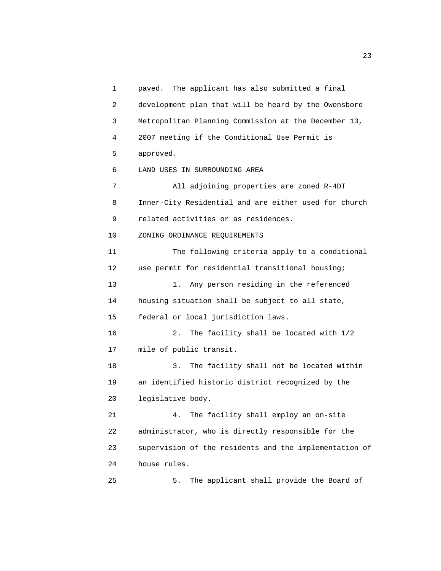1 paved. The applicant has also submitted a final 2 development plan that will be heard by the Owensboro 3 Metropolitan Planning Commission at the December 13, 4 2007 meeting if the Conditional Use Permit is 5 approved. 6 LAND USES IN SURROUNDING AREA 7 All adjoining properties are zoned R-4DT 8 Inner-City Residential and are either used for church 9 related activities or as residences. 10 ZONING ORDINANCE REQUIREMENTS 11 The following criteria apply to a conditional 12 use permit for residential transitional housing; 13 1. Any person residing in the referenced 14 housing situation shall be subject to all state, 15 federal or local jurisdiction laws. 16 2. The facility shall be located with 1/2 17 mile of public transit. 18 3. The facility shall not be located within 19 an identified historic district recognized by the 20 legislative body. 21 4. The facility shall employ an on-site 22 administrator, who is directly responsible for the 23 supervision of the residents and the implementation of 24 house rules. 25 5. The applicant shall provide the Board of

23 and 23 and 23 and 23 and 23 and 23 and 23 and 23 and 23 and 23 and 23 and 23 and 23 and 23 and 23 and 23 and 23 and 24 and 25 and 25 and 26 and 26 and 26 and 26 and 26 and 26 and 26 and 26 and 26 and 26 and 26 and 26 an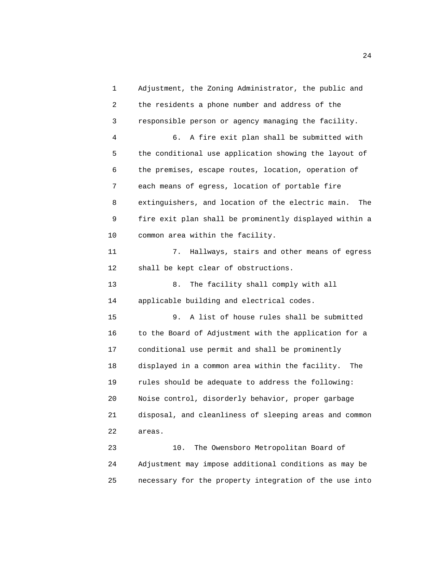1 Adjustment, the Zoning Administrator, the public and 2 the residents a phone number and address of the 3 responsible person or agency managing the facility. 4 6. A fire exit plan shall be submitted with 5 the conditional use application showing the layout of 6 the premises, escape routes, location, operation of 7 each means of egress, location of portable fire 8 extinguishers, and location of the electric main. The 9 fire exit plan shall be prominently displayed within a 10 common area within the facility. 11 7. Hallways, stairs and other means of egress 12 shall be kept clear of obstructions. 13 8. The facility shall comply with all 14 applicable building and electrical codes. 15 9. A list of house rules shall be submitted 16 to the Board of Adjustment with the application for a 17 conditional use permit and shall be prominently 18 displayed in a common area within the facility. The 19 rules should be adequate to address the following: 20 Noise control, disorderly behavior, proper garbage 21 disposal, and cleanliness of sleeping areas and common 22 areas. 23 10. The Owensboro Metropolitan Board of 24 Adjustment may impose additional conditions as may be 25 necessary for the property integration of the use into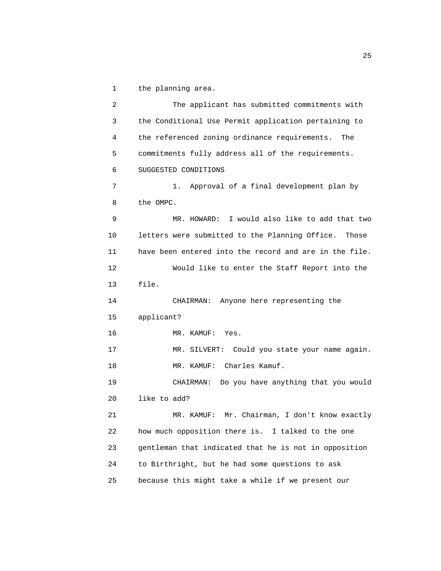1 the planning area.

 2 The applicant has submitted commitments with 3 the Conditional Use Permit application pertaining to 4 the referenced zoning ordinance requirements. The 5 commitments fully address all of the requirements. 6 SUGGESTED CONDITIONS 7 1. Approval of a final development plan by 8 the OMPC. 9 MR. HOWARD: I would also like to add that two 10 letters were submitted to the Planning Office. Those 11 have been entered into the record and are in the file. 12 Would like to enter the Staff Report into the 13 file. 14 CHAIRMAN: Anyone here representing the 15 applicant? 16 MR. KAMUF: Yes. 17 MR. SILVERT: Could you state your name again. 18 MR. KAMUF: Charles Kamuf. 19 CHAIRMAN: Do you have anything that you would 20 like to add? 21 MR. KAMUF: Mr. Chairman, I don't know exactly 22 how much opposition there is. I talked to the one 23 gentleman that indicated that he is not in opposition 24 to Birthright, but he had some questions to ask 25 because this might take a while if we present our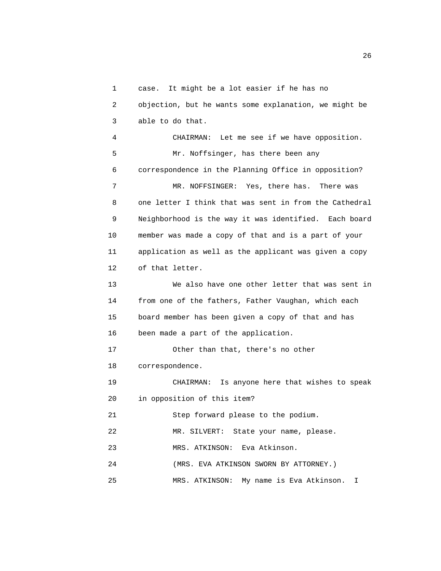1 case. It might be a lot easier if he has no 2 objection, but he wants some explanation, we might be 3 able to do that. 4 CHAIRMAN: Let me see if we have opposition. 5 Mr. Noffsinger, has there been any 6 correspondence in the Planning Office in opposition? 7 MR. NOFFSINGER: Yes, there has. There was 8 one letter I think that was sent in from the Cathedral 9 Neighborhood is the way it was identified. Each board 10 member was made a copy of that and is a part of your 11 application as well as the applicant was given a copy 12 of that letter. 13 We also have one other letter that was sent in 14 from one of the fathers, Father Vaughan, which each 15 board member has been given a copy of that and has 16 been made a part of the application. 17 Other than that, there's no other 18 correspondence. 19 CHAIRMAN: Is anyone here that wishes to speak 20 in opposition of this item? 21 Step forward please to the podium. 22 MR. SILVERT: State your name, please. 23 MRS. ATKINSON: Eva Atkinson. 24 (MRS. EVA ATKINSON SWORN BY ATTORNEY.)

25 MRS. ATKINSON: My name is Eva Atkinson. I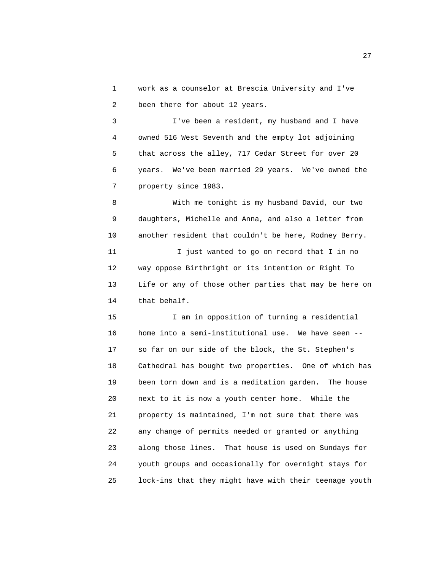1 work as a counselor at Brescia University and I've 2 been there for about 12 years.

 3 I've been a resident, my husband and I have 4 owned 516 West Seventh and the empty lot adjoining 5 that across the alley, 717 Cedar Street for over 20 6 years. We've been married 29 years. We've owned the 7 property since 1983.

 8 With me tonight is my husband David, our two 9 daughters, Michelle and Anna, and also a letter from 10 another resident that couldn't be here, Rodney Berry. 11 I just wanted to go on record that I in no 12 way oppose Birthright or its intention or Right To 13 Life or any of those other parties that may be here on 14 that behalf.

 15 I am in opposition of turning a residential 16 home into a semi-institutional use. We have seen -- 17 so far on our side of the block, the St. Stephen's 18 Cathedral has bought two properties. One of which has 19 been torn down and is a meditation garden. The house 20 next to it is now a youth center home. While the 21 property is maintained, I'm not sure that there was 22 any change of permits needed or granted or anything 23 along those lines. That house is used on Sundays for 24 youth groups and occasionally for overnight stays for 25 lock-ins that they might have with their teenage youth

<u>27</u>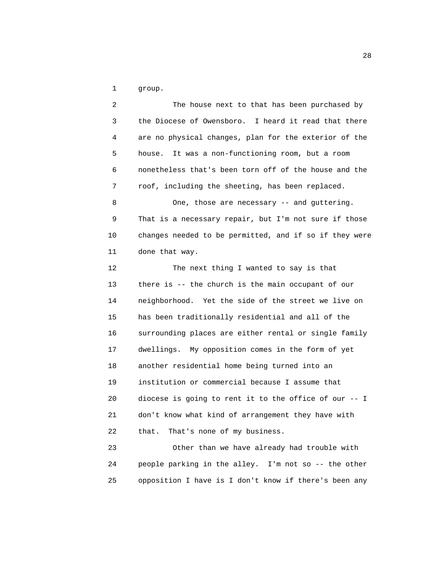1 group.

 2 The house next to that has been purchased by 3 the Diocese of Owensboro. I heard it read that there 4 are no physical changes, plan for the exterior of the 5 house. It was a non-functioning room, but a room 6 nonetheless that's been torn off of the house and the 7 roof, including the sheeting, has been replaced. 8 One, those are necessary -- and guttering. 9 That is a necessary repair, but I'm not sure if those 10 changes needed to be permitted, and if so if they were 11 done that way. 12 The next thing I wanted to say is that 13 there is -- the church is the main occupant of our 14 neighborhood. Yet the side of the street we live on 15 has been traditionally residential and all of the 16 surrounding places are either rental or single family 17 dwellings. My opposition comes in the form of yet 18 another residential home being turned into an 19 institution or commercial because I assume that

 20 diocese is going to rent it to the office of our -- I 21 don't know what kind of arrangement they have with 22 that. That's none of my business.

 23 Other than we have already had trouble with 24 people parking in the alley. I'm not so -- the other 25 opposition I have is I don't know if there's been any

<u>28</u>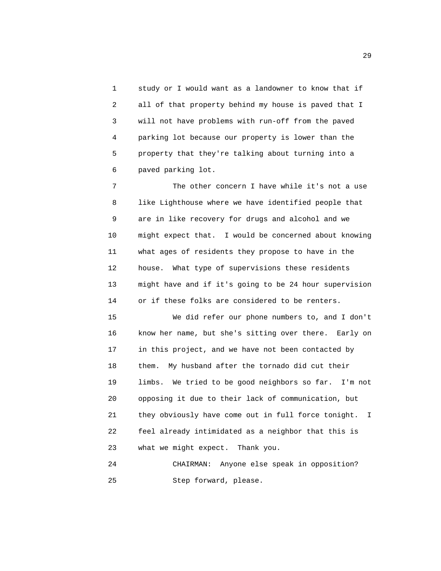1 study or I would want as a landowner to know that if 2 all of that property behind my house is paved that I 3 will not have problems with run-off from the paved 4 parking lot because our property is lower than the 5 property that they're talking about turning into a 6 paved parking lot.

 7 The other concern I have while it's not a use 8 like Lighthouse where we have identified people that 9 are in like recovery for drugs and alcohol and we 10 might expect that. I would be concerned about knowing 11 what ages of residents they propose to have in the 12 house. What type of supervisions these residents 13 might have and if it's going to be 24 hour supervision 14 or if these folks are considered to be renters.

 15 We did refer our phone numbers to, and I don't 16 know her name, but she's sitting over there. Early on 17 in this project, and we have not been contacted by 18 them. My husband after the tornado did cut their 19 limbs. We tried to be good neighbors so far. I'm not 20 opposing it due to their lack of communication, but 21 they obviously have come out in full force tonight. I 22 feel already intimidated as a neighbor that this is 23 what we might expect. Thank you.

 24 CHAIRMAN: Anyone else speak in opposition? 25 Step forward, please.

29 and 20 and 20 and 20 and 20 and 20 and 20 and 20 and 20 and 20 and 20 and 20 and 20 and 20 and 20 and 20 an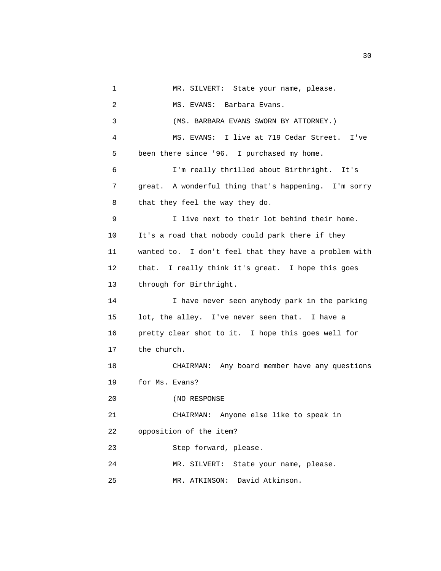1 MR. SILVERT: State your name, please. 2 MS. EVANS: Barbara Evans. 3 (MS. BARBARA EVANS SWORN BY ATTORNEY.) 4 MS. EVANS: I live at 719 Cedar Street. I've 5 been there since '96. I purchased my home. 6 I'm really thrilled about Birthright. It's 7 great. A wonderful thing that's happening. I'm sorry 8 that they feel the way they do. 9 I live next to their lot behind their home. 10 It's a road that nobody could park there if they 11 wanted to. I don't feel that they have a problem with 12 that. I really think it's great. I hope this goes 13 through for Birthright. 14 I have never seen anybody park in the parking 15 lot, the alley. I've never seen that. I have a 16 pretty clear shot to it. I hope this goes well for 17 the church. 18 CHAIRMAN: Any board member have any questions 19 for Ms. Evans? 20 (NO RESPONSE 21 CHAIRMAN: Anyone else like to speak in 22 opposition of the item? 23 Step forward, please. 24 MR. SILVERT: State your name, please. 25 MR. ATKINSON: David Atkinson.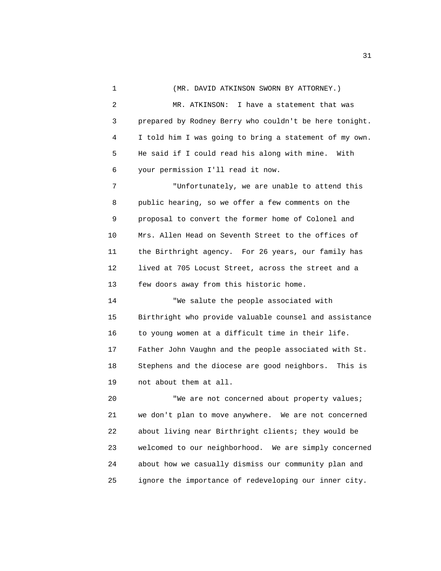1 (MR. DAVID ATKINSON SWORN BY ATTORNEY.) 2 MR. ATKINSON: I have a statement that was 3 prepared by Rodney Berry who couldn't be here tonight. 4 I told him I was going to bring a statement of my own. 5 He said if I could read his along with mine. With 6 your permission I'll read it now. 7 "Unfortunately, we are unable to attend this 8 public hearing, so we offer a few comments on the 9 proposal to convert the former home of Colonel and 10 Mrs. Allen Head on Seventh Street to the offices of 11 the Birthright agency. For 26 years, our family has 12 lived at 705 Locust Street, across the street and a 13 few doors away from this historic home. 14 "We salute the people associated with 15 Birthright who provide valuable counsel and assistance 16 to young women at a difficult time in their life. 17 Father John Vaughn and the people associated with St. 18 Stephens and the diocese are good neighbors. This is 19 not about them at all. 20 "We are not concerned about property values; 21 we don't plan to move anywhere. We are not concerned 22 about living near Birthright clients; they would be 23 welcomed to our neighborhood. We are simply concerned

25 ignore the importance of redeveloping our inner city.

24 about how we casually dismiss our community plan and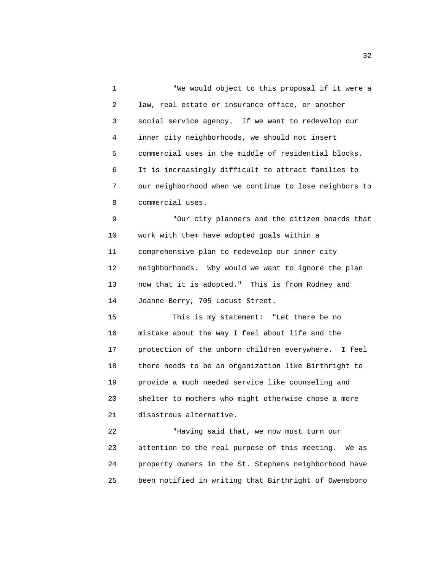1 "We would object to this proposal if it were a 2 law, real estate or insurance office, or another 3 social service agency. If we want to redevelop our 4 inner city neighborhoods, we should not insert 5 commercial uses in the middle of residential blocks. 6 It is increasingly difficult to attract families to 7 our neighborhood when we continue to lose neighbors to 8 commercial uses.

 9 "Our city planners and the citizen boards that 10 work with them have adopted goals within a 11 comprehensive plan to redevelop our inner city 12 neighborhoods. Why would we want to ignore the plan 13 now that it is adopted." This is from Rodney and 14 Joanne Berry, 705 Locust Street.

 15 This is my statement: "Let there be no 16 mistake about the way I feel about life and the 17 protection of the unborn children everywhere. I feel 18 there needs to be an organization like Birthright to 19 provide a much needed service like counseling and 20 shelter to mothers who might otherwise chose a more 21 disastrous alternative.

 22 "Having said that, we now must turn our 23 attention to the real purpose of this meeting. We as 24 property owners in the St. Stephens neighborhood have 25 been notified in writing that Birthright of Owensboro

 $\frac{32}{2}$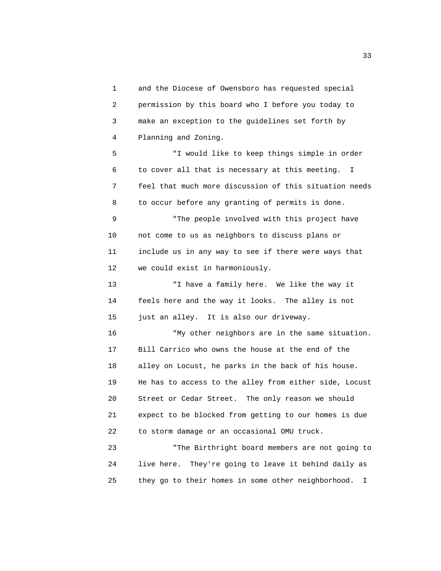1 and the Diocese of Owensboro has requested special 2 permission by this board who I before you today to 3 make an exception to the guidelines set forth by 4 Planning and Zoning.

 5 "I would like to keep things simple in order 6 to cover all that is necessary at this meeting. I 7 feel that much more discussion of this situation needs 8 to occur before any granting of permits is done.

 9 "The people involved with this project have 10 not come to us as neighbors to discuss plans or 11 include us in any way to see if there were ways that 12 we could exist in harmoniously.

 13 "I have a family here. We like the way it 14 feels here and the way it looks. The alley is not 15 just an alley. It is also our driveway.

 16 "My other neighbors are in the same situation. 17 Bill Carrico who owns the house at the end of the 18 alley on Locust, he parks in the back of his house. 19 He has to access to the alley from either side, Locust 20 Street or Cedar Street. The only reason we should 21 expect to be blocked from getting to our homes is due 22 to storm damage or an occasional OMU truck.

 23 "The Birthright board members are not going to 24 live here. They're going to leave it behind daily as 25 they go to their homes in some other neighborhood. I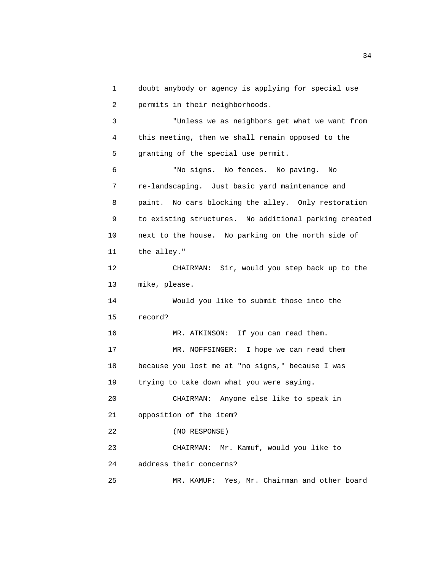1 doubt anybody or agency is applying for special use 2 permits in their neighborhoods.

 3 "Unless we as neighbors get what we want from 4 this meeting, then we shall remain opposed to the 5 granting of the special use permit.

 6 "No signs. No fences. No paving. No 7 re-landscaping. Just basic yard maintenance and 8 paint. No cars blocking the alley. Only restoration 9 to existing structures. No additional parking created 10 next to the house. No parking on the north side of 11 the alley."

 12 CHAIRMAN: Sir, would you step back up to the 13 mike, please.

 14 Would you like to submit those into the 15 record?

16 MR. ATKINSON: If you can read them.

 17 MR. NOFFSINGER: I hope we can read them 18 because you lost me at "no signs," because I was

19 trying to take down what you were saying.

 20 CHAIRMAN: Anyone else like to speak in 21 opposition of the item?

22 (NO RESPONSE)

23 CHAIRMAN: Mr. Kamuf, would you like to

24 address their concerns?

25 MR. KAMUF: Yes, Mr. Chairman and other board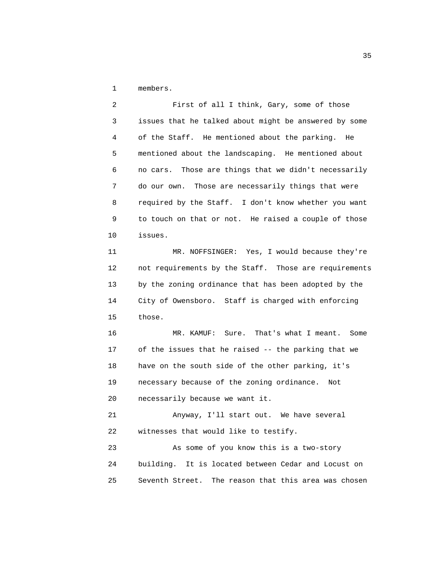1 members.

 2 First of all I think, Gary, some of those 3 issues that he talked about might be answered by some 4 of the Staff. He mentioned about the parking. He 5 mentioned about the landscaping. He mentioned about 6 no cars. Those are things that we didn't necessarily 7 do our own. Those are necessarily things that were 8 required by the Staff. I don't know whether you want 9 to touch on that or not. He raised a couple of those 10 issues.

 11 MR. NOFFSINGER: Yes, I would because they're 12 not requirements by the Staff. Those are requirements 13 by the zoning ordinance that has been adopted by the 14 City of Owensboro. Staff is charged with enforcing 15 those.

 16 MR. KAMUF: Sure. That's what I meant. Some 17 of the issues that he raised -- the parking that we 18 have on the south side of the other parking, it's 19 necessary because of the zoning ordinance. Not 20 necessarily because we want it.

 21 Anyway, I'll start out. We have several 22 witnesses that would like to testify.

 23 As some of you know this is a two-story 24 building. It is located between Cedar and Locust on 25 Seventh Street. The reason that this area was chosen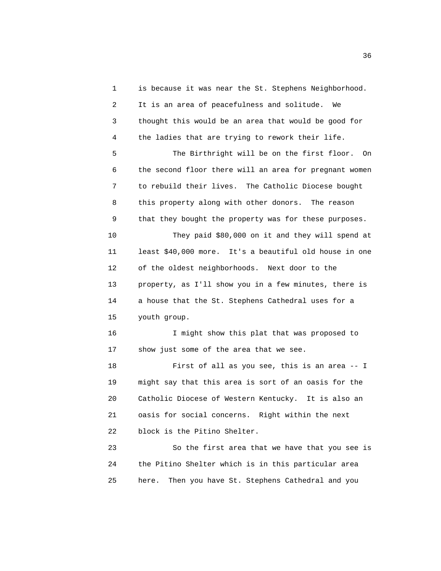1 is because it was near the St. Stephens Neighborhood. 2 It is an area of peacefulness and solitude. We 3 thought this would be an area that would be good for 4 the ladies that are trying to rework their life. 5 The Birthright will be on the first floor. On 6 the second floor there will an area for pregnant women 7 to rebuild their lives. The Catholic Diocese bought 8 this property along with other donors. The reason 9 that they bought the property was for these purposes. 10 They paid \$80,000 on it and they will spend at 11 least \$40,000 more. It's a beautiful old house in one 12 of the oldest neighborhoods. Next door to the 13 property, as I'll show you in a few minutes, there is 14 a house that the St. Stephens Cathedral uses for a 15 youth group. 16 I might show this plat that was proposed to 17 show just some of the area that we see. 18 First of all as you see, this is an area -- I 19 might say that this area is sort of an oasis for the 20 Catholic Diocese of Western Kentucky. It is also an 21 oasis for social concerns. Right within the next 22 block is the Pitino Shelter. 23 So the first area that we have that you see is

 24 the Pitino Shelter which is in this particular area 25 here. Then you have St. Stephens Cathedral and you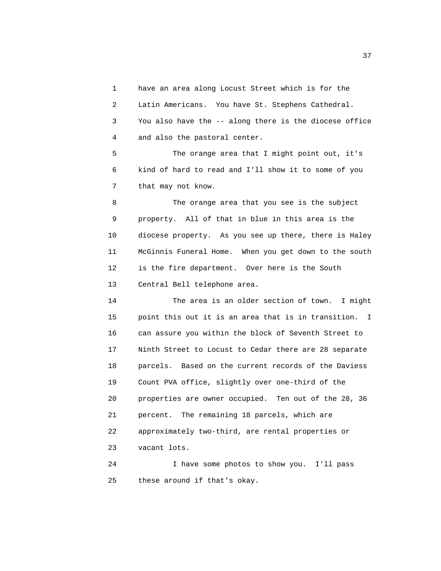1 have an area along Locust Street which is for the 2 Latin Americans. You have St. Stephens Cathedral. 3 You also have the -- along there is the diocese office 4 and also the pastoral center.

 5 The orange area that I might point out, it's 6 kind of hard to read and I'll show it to some of you 7 that may not know.

 8 The orange area that you see is the subject 9 property. All of that in blue in this area is the 10 diocese property. As you see up there, there is Haley 11 McGinnis Funeral Home. When you get down to the south 12 is the fire department. Over here is the South 13 Central Bell telephone area.

 14 The area is an older section of town. I might 15 point this out it is an area that is in transition. I 16 can assure you within the block of Seventh Street to 17 Ninth Street to Locust to Cedar there are 28 separate 18 parcels. Based on the current records of the Daviess 19 Count PVA office, slightly over one-third of the 20 properties are owner occupied. Ten out of the 28, 36 21 percent. The remaining 18 parcels, which are 22 approximately two-third, are rental properties or 23 vacant lots.

 24 I have some photos to show you. I'll pass 25 these around if that's okay.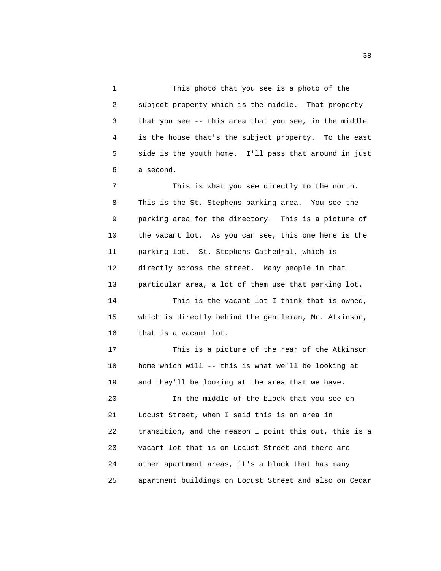1 This photo that you see is a photo of the 2 subject property which is the middle. That property 3 that you see -- this area that you see, in the middle 4 is the house that's the subject property. To the east 5 side is the youth home. I'll pass that around in just 6 a second.

 7 This is what you see directly to the north. 8 This is the St. Stephens parking area. You see the 9 parking area for the directory. This is a picture of 10 the vacant lot. As you can see, this one here is the 11 parking lot. St. Stephens Cathedral, which is 12 directly across the street. Many people in that 13 particular area, a lot of them use that parking lot.

 14 This is the vacant lot I think that is owned, 15 which is directly behind the gentleman, Mr. Atkinson, 16 that is a vacant lot.

 17 This is a picture of the rear of the Atkinson 18 home which will -- this is what we'll be looking at 19 and they'll be looking at the area that we have.

 20 In the middle of the block that you see on 21 Locust Street, when I said this is an area in 22 transition, and the reason I point this out, this is a 23 vacant lot that is on Locust Street and there are 24 other apartment areas, it's a block that has many 25 apartment buildings on Locust Street and also on Cedar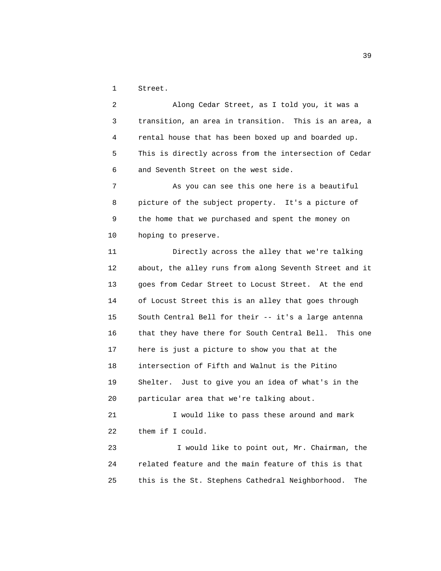1 Street.

 2 Along Cedar Street, as I told you, it was a 3 transition, an area in transition. This is an area, a 4 rental house that has been boxed up and boarded up. 5 This is directly across from the intersection of Cedar 6 and Seventh Street on the west side.

 7 As you can see this one here is a beautiful 8 picture of the subject property. It's a picture of 9 the home that we purchased and spent the money on 10 hoping to preserve.

 11 Directly across the alley that we're talking 12 about, the alley runs from along Seventh Street and it 13 goes from Cedar Street to Locust Street. At the end 14 of Locust Street this is an alley that goes through 15 South Central Bell for their -- it's a large antenna 16 that they have there for South Central Bell. This one 17 here is just a picture to show you that at the 18 intersection of Fifth and Walnut is the Pitino 19 Shelter. Just to give you an idea of what's in the 20 particular area that we're talking about.

 21 I would like to pass these around and mark 22 them if I could.

 23 I would like to point out, Mr. Chairman, the 24 related feature and the main feature of this is that 25 this is the St. Stephens Cathedral Neighborhood. The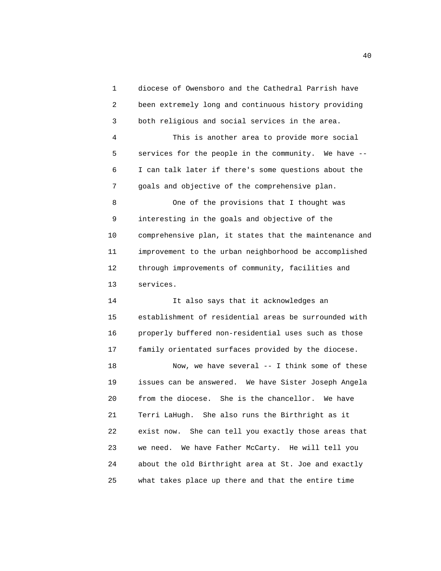1 diocese of Owensboro and the Cathedral Parrish have 2 been extremely long and continuous history providing 3 both religious and social services in the area. 4 This is another area to provide more social 5 services for the people in the community. We have -- 6 I can talk later if there's some questions about the 7 goals and objective of the comprehensive plan. 8 One of the provisions that I thought was 9 interesting in the goals and objective of the 10 comprehensive plan, it states that the maintenance and 11 improvement to the urban neighborhood be accomplished 12 through improvements of community, facilities and 13 services. 14 It also says that it acknowledges an 15 establishment of residential areas be surrounded with

 16 properly buffered non-residential uses such as those 17 family orientated surfaces provided by the diocese.

 18 Now, we have several -- I think some of these 19 issues can be answered. We have Sister Joseph Angela 20 from the diocese. She is the chancellor. We have 21 Terri LaHugh. She also runs the Birthright as it 22 exist now. She can tell you exactly those areas that 23 we need. We have Father McCarty. He will tell you 24 about the old Birthright area at St. Joe and exactly 25 what takes place up there and that the entire time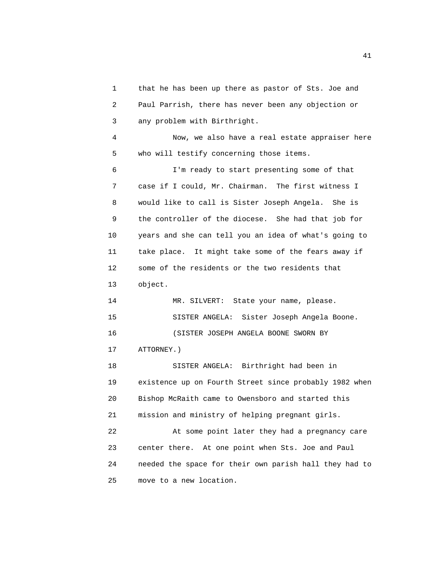1 that he has been up there as pastor of Sts. Joe and 2 Paul Parrish, there has never been any objection or 3 any problem with Birthright.

 4 Now, we also have a real estate appraiser here 5 who will testify concerning those items.

 6 I'm ready to start presenting some of that 7 case if I could, Mr. Chairman. The first witness I 8 would like to call is Sister Joseph Angela. She is 9 the controller of the diocese. She had that job for 10 years and she can tell you an idea of what's going to 11 take place. It might take some of the fears away if 12 some of the residents or the two residents that 13 object.

 14 MR. SILVERT: State your name, please. 15 SISTER ANGELA: Sister Joseph Angela Boone. 16 (SISTER JOSEPH ANGELA BOONE SWORN BY

17 ATTORNEY.)

 18 SISTER ANGELA: Birthright had been in 19 existence up on Fourth Street since probably 1982 when 20 Bishop McRaith came to Owensboro and started this 21 mission and ministry of helping pregnant girls.

 22 At some point later they had a pregnancy care 23 center there. At one point when Sts. Joe and Paul 24 needed the space for their own parish hall they had to 25 move to a new location.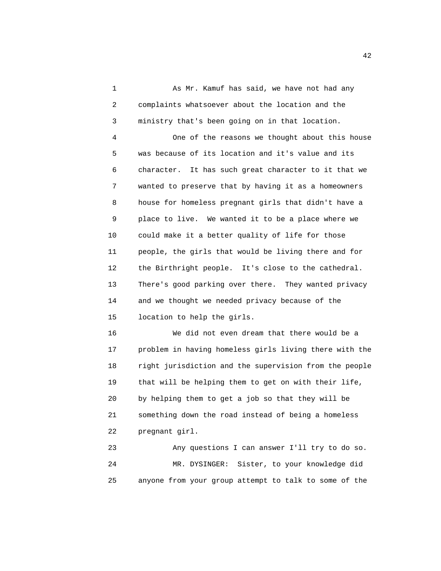1 As Mr. Kamuf has said, we have not had any 2 complaints whatsoever about the location and the 3 ministry that's been going on in that location.

 4 One of the reasons we thought about this house 5 was because of its location and it's value and its 6 character. It has such great character to it that we 7 wanted to preserve that by having it as a homeowners 8 house for homeless pregnant girls that didn't have a 9 place to live. We wanted it to be a place where we 10 could make it a better quality of life for those 11 people, the girls that would be living there and for 12 the Birthright people. It's close to the cathedral. 13 There's good parking over there. They wanted privacy 14 and we thought we needed privacy because of the 15 location to help the girls.

 16 We did not even dream that there would be a 17 problem in having homeless girls living there with the 18 right jurisdiction and the supervision from the people 19 that will be helping them to get on with their life, 20 by helping them to get a job so that they will be 21 something down the road instead of being a homeless 22 pregnant girl.

 23 Any questions I can answer I'll try to do so. 24 MR. DYSINGER: Sister, to your knowledge did 25 anyone from your group attempt to talk to some of the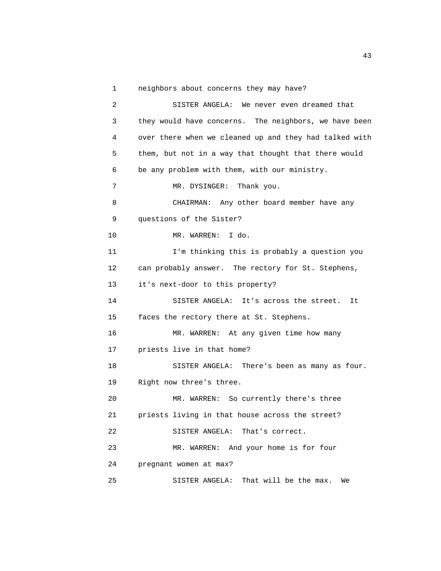1 neighbors about concerns they may have?

 2 SISTER ANGELA: We never even dreamed that 3 they would have concerns. The neighbors, we have been 4 over there when we cleaned up and they had talked with 5 them, but not in a way that thought that there would 6 be any problem with them, with our ministry. 7 MR. DYSINGER: Thank you. 8 CHAIRMAN: Any other board member have any 9 questions of the Sister? 10 MR. WARREN: I do. 11 I'm thinking this is probably a question you 12 can probably answer. The rectory for St. Stephens, 13 it's next-door to this property? 14 SISTER ANGELA: It's across the street. It 15 faces the rectory there at St. Stephens. 16 MR. WARREN: At any given time how many 17 priests live in that home? 18 SISTER ANGELA: There's been as many as four. 19 Right now three's three. 20 MR. WARREN: So currently there's three 21 priests living in that house across the street? 22 SISTER ANGELA: That's correct. 23 MR. WARREN: And your home is for four 24 pregnant women at max? 25 SISTER ANGELA: That will be the max. We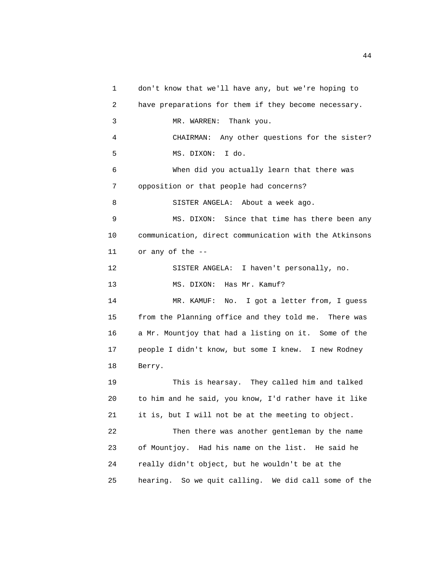1 don't know that we'll have any, but we're hoping to 2 have preparations for them if they become necessary. 3 MR. WARREN: Thank you. 4 CHAIRMAN: Any other questions for the sister? 5 MS. DIXON: I do. 6 When did you actually learn that there was 7 opposition or that people had concerns? 8 SISTER ANGELA: About a week ago. 9 MS. DIXON: Since that time has there been any 10 communication, direct communication with the Atkinsons 11 or any of the -- 12 SISTER ANGELA: I haven't personally, no. 13 MS. DIXON: Has Mr. Kamuf? 14 MR. KAMUF: No. I got a letter from, I guess 15 from the Planning office and they told me. There was 16 a Mr. Mountjoy that had a listing on it. Some of the 17 people I didn't know, but some I knew. I new Rodney 18 Berry. 19 This is hearsay. They called him and talked 20 to him and he said, you know, I'd rather have it like 21 it is, but I will not be at the meeting to object. 22 Then there was another gentleman by the name 23 of Mountjoy. Had his name on the list. He said he 24 really didn't object, but he wouldn't be at the 25 hearing. So we quit calling. We did call some of the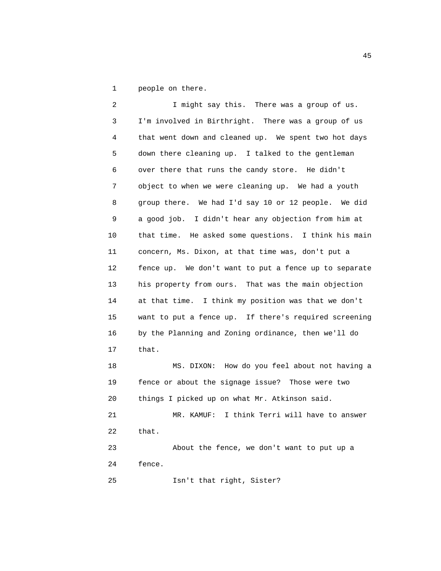1 people on there.

2 I might say this. There was a group of us. 3 I'm involved in Birthright. There was a group of us 4 that went down and cleaned up. We spent two hot days 5 down there cleaning up. I talked to the gentleman 6 over there that runs the candy store. He didn't 7 object to when we were cleaning up. We had a youth 8 group there. We had I'd say 10 or 12 people. We did 9 a good job. I didn't hear any objection from him at 10 that time. He asked some questions. I think his main 11 concern, Ms. Dixon, at that time was, don't put a 12 fence up. We don't want to put a fence up to separate 13 his property from ours. That was the main objection 14 at that time. I think my position was that we don't 15 want to put a fence up. If there's required screening 16 by the Planning and Zoning ordinance, then we'll do 17 that. 18 MS. DIXON: How do you feel about not having a 19 fence or about the signage issue? Those were two 20 things I picked up on what Mr. Atkinson said. 21 MR. KAMUF: I think Terri will have to answer 22 that. 23 About the fence, we don't want to put up a

24 fence.

25 Isn't that right, Sister?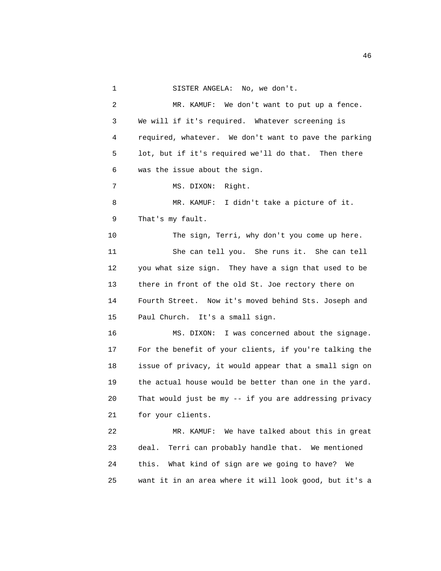1 SISTER ANGELA: No, we don't. 2 MR. KAMUF: We don't want to put up a fence. 3 We will if it's required. Whatever screening is 4 required, whatever. We don't want to pave the parking 5 lot, but if it's required we'll do that. Then there 6 was the issue about the sign. 7 MS. DIXON: Right. 8 MR. KAMUF: I didn't take a picture of it. 9 That's my fault. 10 The sign, Terri, why don't you come up here. 11 She can tell you. She runs it. She can tell 12 you what size sign. They have a sign that used to be 13 there in front of the old St. Joe rectory there on 14 Fourth Street. Now it's moved behind Sts. Joseph and 15 Paul Church. It's a small sign. 16 MS. DIXON: I was concerned about the signage. 17 For the benefit of your clients, if you're talking the 18 issue of privacy, it would appear that a small sign on 19 the actual house would be better than one in the yard. 20 That would just be my -- if you are addressing privacy 21 for your clients. 22 MR. KAMUF: We have talked about this in great 23 deal. Terri can probably handle that. We mentioned 24 this. What kind of sign are we going to have? We

25 want it in an area where it will look good, but it's a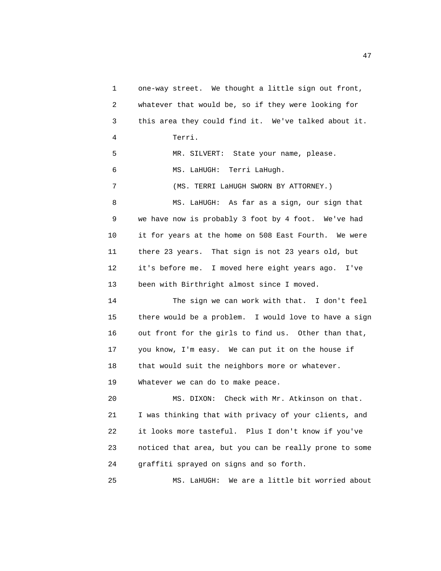1 one-way street. We thought a little sign out front, 2 whatever that would be, so if they were looking for 3 this area they could find it. We've talked about it. 4 Terri. 5 MR. SILVERT: State your name, please. 6 MS. LaHUGH: Terri LaHugh. 7 (MS. TERRI LaHUGH SWORN BY ATTORNEY.) 8 MS. LaHUGH: As far as a sign, our sign that 9 we have now is probably 3 foot by 4 foot. We've had 10 it for years at the home on 508 East Fourth. We were 11 there 23 years. That sign is not 23 years old, but 12 it's before me. I moved here eight years ago. I've 13 been with Birthright almost since I moved. 14 The sign we can work with that. I don't feel 15 there would be a problem. I would love to have a sign 16 out front for the girls to find us. Other than that, 17 you know, I'm easy. We can put it on the house if 18 that would suit the neighbors more or whatever. 19 Whatever we can do to make peace. 20 MS. DIXON: Check with Mr. Atkinson on that. 21 I was thinking that with privacy of your clients, and 22 it looks more tasteful. Plus I don't know if you've 23 noticed that area, but you can be really prone to some 24 graffiti sprayed on signs and so forth. 25 MS. LaHUGH: We are a little bit worried about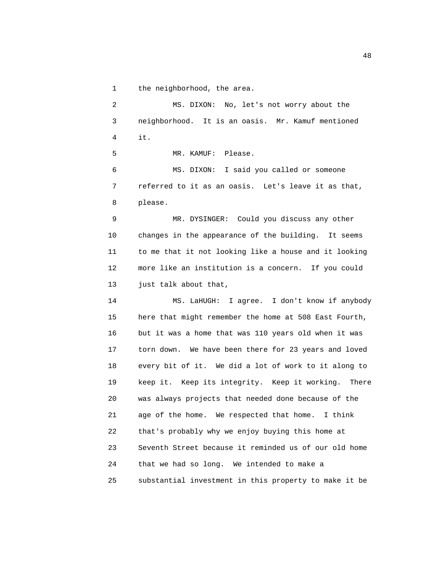1 the neighborhood, the area.

 2 MS. DIXON: No, let's not worry about the 3 neighborhood. It is an oasis. Mr. Kamuf mentioned 4 it. 5 MR. KAMUF: Please. 6 MS. DIXON: I said you called or someone 7 referred to it as an oasis. Let's leave it as that, 8 please. 9 MR. DYSINGER: Could you discuss any other 10 changes in the appearance of the building. It seems 11 to me that it not looking like a house and it looking 12 more like an institution is a concern. If you could 13 just talk about that, 14 MS. LaHUGH: I agree. I don't know if anybody 15 here that might remember the home at 508 East Fourth, 16 but it was a home that was 110 years old when it was 17 torn down. We have been there for 23 years and loved 18 every bit of it. We did a lot of work to it along to 19 keep it. Keep its integrity. Keep it working. There 20 was always projects that needed done because of the 21 age of the home. We respected that home. I think 22 that's probably why we enjoy buying this home at 23 Seventh Street because it reminded us of our old home 24 that we had so long. We intended to make a 25 substantial investment in this property to make it be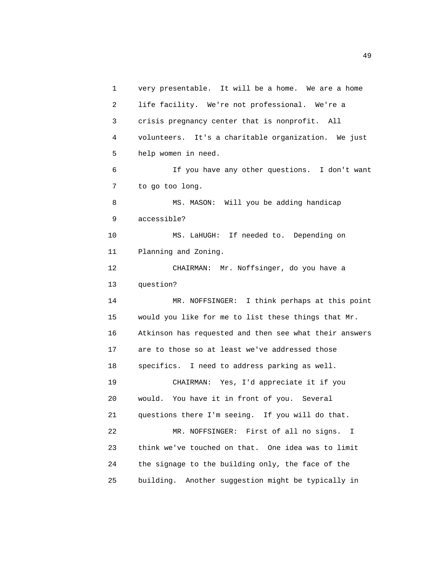1 very presentable. It will be a home. We are a home 2 life facility. We're not professional. We're a 3 crisis pregnancy center that is nonprofit. All 4 volunteers. It's a charitable organization. We just 5 help women in need. 6 If you have any other questions. I don't want 7 to go too long. 8 MS. MASON: Will you be adding handicap 9 accessible? 10 MS. LaHUGH: If needed to. Depending on 11 Planning and Zoning. 12 CHAIRMAN: Mr. Noffsinger, do you have a 13 question? 14 MR. NOFFSINGER: I think perhaps at this point 15 would you like for me to list these things that Mr. 16 Atkinson has requested and then see what their answers 17 are to those so at least we've addressed those 18 specifics. I need to address parking as well. 19 CHAIRMAN: Yes, I'd appreciate it if you 20 would. You have it in front of you. Several 21 questions there I'm seeing. If you will do that. 22 MR. NOFFSINGER: First of all no signs. I 23 think we've touched on that. One idea was to limit 24 the signage to the building only, the face of the 25 building. Another suggestion might be typically in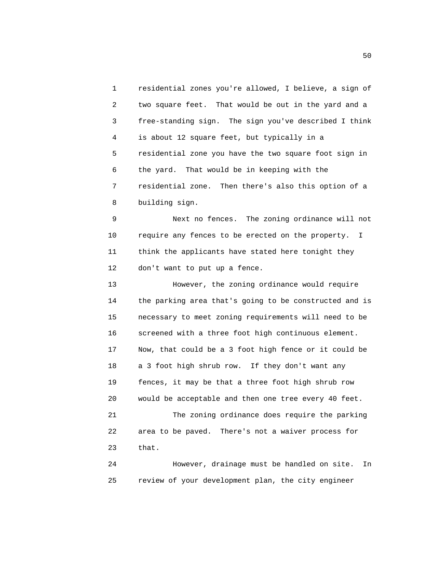1 residential zones you're allowed, I believe, a sign of 2 two square feet. That would be out in the yard and a 3 free-standing sign. The sign you've described I think 4 is about 12 square feet, but typically in a 5 residential zone you have the two square foot sign in 6 the yard. That would be in keeping with the 7 residential zone. Then there's also this option of a 8 building sign.

 9 Next no fences. The zoning ordinance will not 10 require any fences to be erected on the property. I 11 think the applicants have stated here tonight they 12 don't want to put up a fence.

 13 However, the zoning ordinance would require 14 the parking area that's going to be constructed and is 15 necessary to meet zoning requirements will need to be 16 screened with a three foot high continuous element. 17 Now, that could be a 3 foot high fence or it could be 18 a 3 foot high shrub row. If they don't want any 19 fences, it may be that a three foot high shrub row 20 would be acceptable and then one tree every 40 feet. 21 The zoning ordinance does require the parking 22 area to be paved. There's not a waiver process for 23 that.

 24 However, drainage must be handled on site. In 25 review of your development plan, the city engineer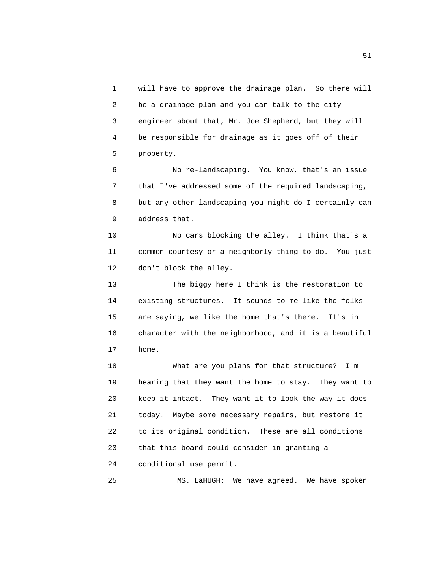1 will have to approve the drainage plan. So there will 2 be a drainage plan and you can talk to the city 3 engineer about that, Mr. Joe Shepherd, but they will 4 be responsible for drainage as it goes off of their 5 property.

 6 No re-landscaping. You know, that's an issue 7 that I've addressed some of the required landscaping, 8 but any other landscaping you might do I certainly can 9 address that.

 10 No cars blocking the alley. I think that's a 11 common courtesy or a neighborly thing to do. You just 12 don't block the alley.

 13 The biggy here I think is the restoration to 14 existing structures. It sounds to me like the folks 15 are saying, we like the home that's there. It's in 16 character with the neighborhood, and it is a beautiful 17 home.

 18 What are you plans for that structure? I'm 19 hearing that they want the home to stay. They want to 20 keep it intact. They want it to look the way it does 21 today. Maybe some necessary repairs, but restore it 22 to its original condition. These are all conditions 23 that this board could consider in granting a 24 conditional use permit.

25 MS. LaHUGH: We have agreed. We have spoken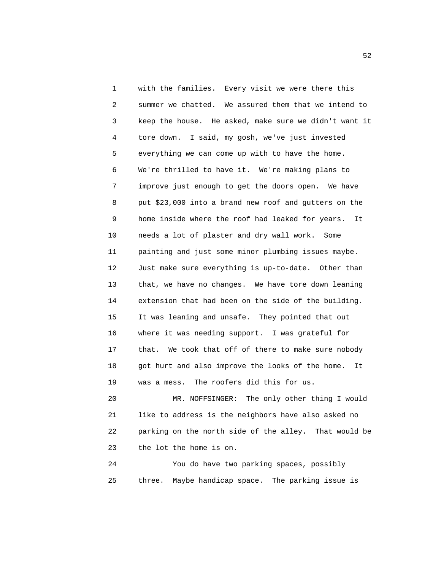1 with the families. Every visit we were there this 2 summer we chatted. We assured them that we intend to 3 keep the house. He asked, make sure we didn't want it 4 tore down. I said, my gosh, we've just invested 5 everything we can come up with to have the home. 6 We're thrilled to have it. We're making plans to 7 improve just enough to get the doors open. We have 8 put \$23,000 into a brand new roof and gutters on the 9 home inside where the roof had leaked for years. It 10 needs a lot of plaster and dry wall work. Some 11 painting and just some minor plumbing issues maybe. 12 Just make sure everything is up-to-date. Other than 13 that, we have no changes. We have tore down leaning 14 extension that had been on the side of the building. 15 It was leaning and unsafe. They pointed that out 16 where it was needing support. I was grateful for 17 that. We took that off of there to make sure nobody 18 got hurt and also improve the looks of the home. It 19 was a mess. The roofers did this for us.

 20 MR. NOFFSINGER: The only other thing I would 21 like to address is the neighbors have also asked no 22 parking on the north side of the alley. That would be 23 the lot the home is on.

 24 You do have two parking spaces, possibly 25 three. Maybe handicap space. The parking issue is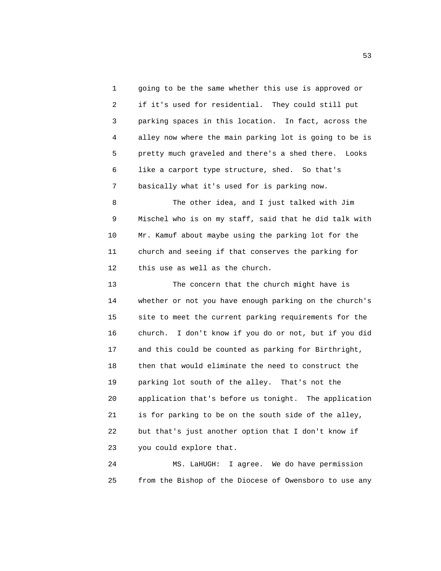1 going to be the same whether this use is approved or 2 if it's used for residential. They could still put 3 parking spaces in this location. In fact, across the 4 alley now where the main parking lot is going to be is 5 pretty much graveled and there's a shed there. Looks 6 like a carport type structure, shed. So that's 7 basically what it's used for is parking now.

 8 The other idea, and I just talked with Jim 9 Mischel who is on my staff, said that he did talk with 10 Mr. Kamuf about maybe using the parking lot for the 11 church and seeing if that conserves the parking for 12 this use as well as the church.

 13 The concern that the church might have is 14 whether or not you have enough parking on the church's 15 site to meet the current parking requirements for the 16 church. I don't know if you do or not, but if you did 17 and this could be counted as parking for Birthright, 18 then that would eliminate the need to construct the 19 parking lot south of the alley. That's not the 20 application that's before us tonight. The application 21 is for parking to be on the south side of the alley, 22 but that's just another option that I don't know if 23 you could explore that.

 24 MS. LaHUGH: I agree. We do have permission 25 from the Bishop of the Diocese of Owensboro to use any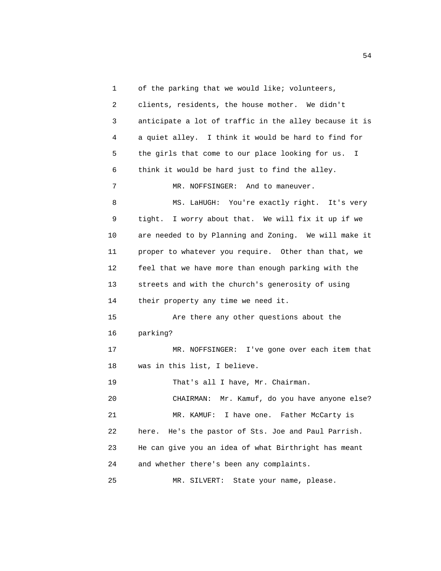1 of the parking that we would like; volunteers,

| 2  | clients, residents, the house mother. We didn't        |
|----|--------------------------------------------------------|
| 3  | anticipate a lot of traffic in the alley because it is |
| 4  | a quiet alley. I think it would be hard to find for    |
| 5  | the girls that come to our place looking for us.<br>I  |
| 6  | think it would be hard just to find the alley.         |
| 7  | MR. NOFFSINGER: And to maneuver.                       |
| 8  | MS. LaHUGH: You're exactly right. It's very            |
| 9  | I worry about that. We will fix it up if we<br>tight.  |
| 10 | are needed to by Planning and Zoning. We will make it  |
| 11 | proper to whatever you require. Other than that, we    |
| 12 | feel that we have more than enough parking with the    |
| 13 | streets and with the church's generosity of using      |
| 14 | their property any time we need it.                    |
| 15 | Are there any other questions about the                |
| 16 | parking?                                               |
| 17 | MR. NOFFSINGER: I've gone over each item that          |
| 18 | was in this list, I believe.                           |
| 19 | That's all I have, Mr. Chairman.                       |
| 20 | Mr. Kamuf, do you have anyone else?<br>CHAIRMAN:       |
| 21 | I have one.<br>Father McCarty is<br>MR. KAMUF:         |
| 22 | here. He's the pastor of Sts. Joe and Paul Parrish.    |
| 23 | He can give you an idea of what Birthright has meant   |
| 24 | and whether there's been any complaints.               |
| 25 | State your name, please.<br>MR. SILVERT:               |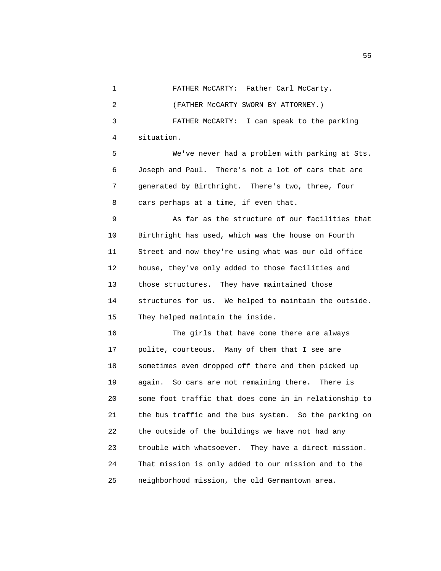1 FATHER McCARTY: Father Carl McCarty.

2 (FATHER McCARTY SWORN BY ATTORNEY.)

 3 FATHER McCARTY: I can speak to the parking 4 situation.

 5 We've never had a problem with parking at Sts. 6 Joseph and Paul. There's not a lot of cars that are 7 generated by Birthright. There's two, three, four 8 cars perhaps at a time, if even that.

 9 As far as the structure of our facilities that 10 Birthright has used, which was the house on Fourth 11 Street and now they're using what was our old office 12 house, they've only added to those facilities and 13 those structures. They have maintained those 14 structures for us. We helped to maintain the outside. 15 They helped maintain the inside.

 16 The girls that have come there are always 17 polite, courteous. Many of them that I see are 18 sometimes even dropped off there and then picked up 19 again. So cars are not remaining there. There is 20 some foot traffic that does come in in relationship to 21 the bus traffic and the bus system. So the parking on 22 the outside of the buildings we have not had any 23 trouble with whatsoever. They have a direct mission. 24 That mission is only added to our mission and to the 25 neighborhood mission, the old Germantown area.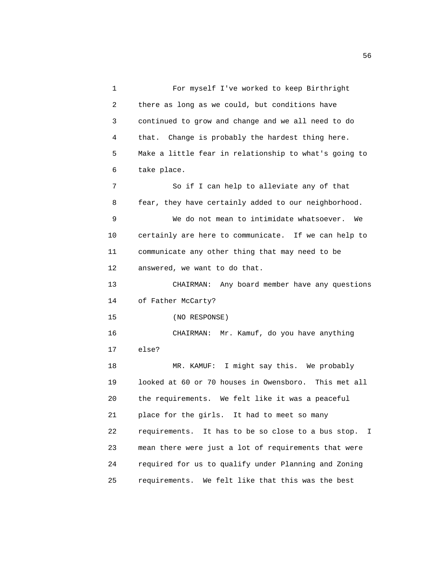1 For myself I've worked to keep Birthright 2 there as long as we could, but conditions have 3 continued to grow and change and we all need to do 4 that. Change is probably the hardest thing here. 5 Make a little fear in relationship to what's going to 6 take place. 7 So if I can help to alleviate any of that 8 fear, they have certainly added to our neighborhood. 9 We do not mean to intimidate whatsoever. We 10 certainly are here to communicate. If we can help to 11 communicate any other thing that may need to be 12 answered, we want to do that. 13 CHAIRMAN: Any board member have any questions 14 of Father McCarty? 15 (NO RESPONSE) 16 CHAIRMAN: Mr. Kamuf, do you have anything 17 else? 18 MR. KAMUF: I might say this. We probably 19 looked at 60 or 70 houses in Owensboro. This met all 20 the requirements. We felt like it was a peaceful 21 place for the girls. It had to meet so many 22 requirements. It has to be so close to a bus stop. I 23 mean there were just a lot of requirements that were 24 required for us to qualify under Planning and Zoning 25 requirements. We felt like that this was the best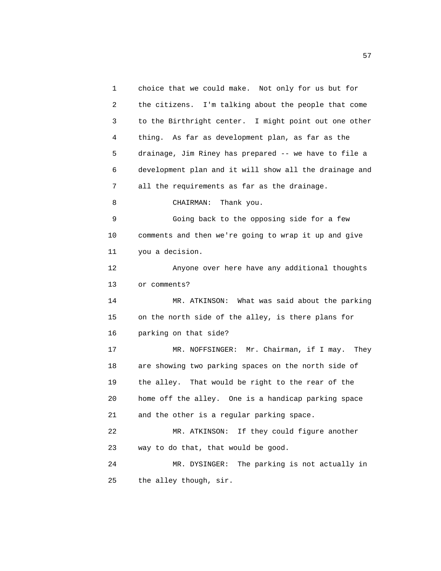1 choice that we could make. Not only for us but for 2 the citizens. I'm talking about the people that come 3 to the Birthright center. I might point out one other 4 thing. As far as development plan, as far as the 5 drainage, Jim Riney has prepared -- we have to file a 6 development plan and it will show all the drainage and 7 all the requirements as far as the drainage. 8 CHAIRMAN: Thank you. 9 Going back to the opposing side for a few 10 comments and then we're going to wrap it up and give 11 you a decision. 12 Anyone over here have any additional thoughts 13 or comments? 14 MR. ATKINSON: What was said about the parking 15 on the north side of the alley, is there plans for 16 parking on that side? 17 MR. NOFFSINGER: Mr. Chairman, if I may. They 18 are showing two parking spaces on the north side of 19 the alley. That would be right to the rear of the 20 home off the alley. One is a handicap parking space 21 and the other is a regular parking space. 22 MR. ATKINSON: If they could figure another 23 way to do that, that would be good. 24 MR. DYSINGER: The parking is not actually in 25 the alley though, sir.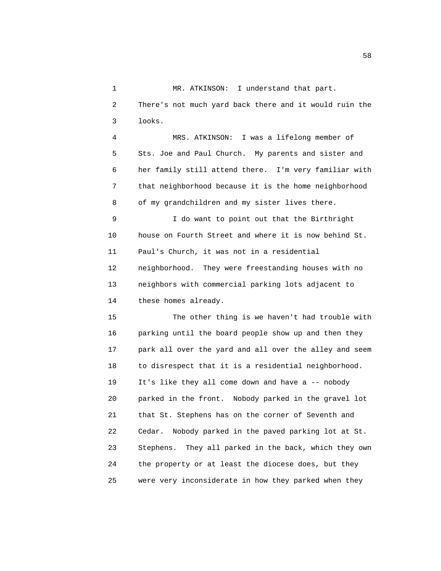1 MR. ATKINSON: I understand that part. 2 There's not much yard back there and it would ruin the 3 looks.

 4 MRS. ATKINSON: I was a lifelong member of 5 Sts. Joe and Paul Church. My parents and sister and 6 her family still attend there. I'm very familiar with 7 that neighborhood because it is the home neighborhood 8 of my grandchildren and my sister lives there.

 9 I do want to point out that the Birthright 10 house on Fourth Street and where it is now behind St. 11 Paul's Church, it was not in a residential 12 neighborhood. They were freestanding houses with no 13 neighbors with commercial parking lots adjacent to 14 these homes already.

 15 The other thing is we haven't had trouble with 16 parking until the board people show up and then they 17 park all over the yard and all over the alley and seem 18 to disrespect that it is a residential neighborhood. 19 It's like they all come down and have a -- nobody 20 parked in the front. Nobody parked in the gravel lot 21 that St. Stephens has on the corner of Seventh and 22 Cedar. Nobody parked in the paved parking lot at St. 23 Stephens. They all parked in the back, which they own 24 the property or at least the diocese does, but they 25 were very inconsiderate in how they parked when they

the state of the state of the state of the state of the state of the state of the state of the state of the state of the state of the state of the state of the state of the state of the state of the state of the state of t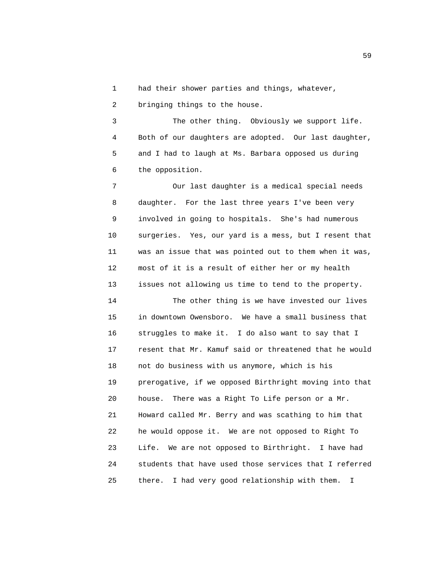1 had their shower parties and things, whatever,

2 bringing things to the house.

 3 The other thing. Obviously we support life. 4 Both of our daughters are adopted. Our last daughter, 5 and I had to laugh at Ms. Barbara opposed us during 6 the opposition.

 7 Our last daughter is a medical special needs 8 daughter. For the last three years I've been very 9 involved in going to hospitals. She's had numerous 10 surgeries. Yes, our yard is a mess, but I resent that 11 was an issue that was pointed out to them when it was, 12 most of it is a result of either her or my health 13 issues not allowing us time to tend to the property.

 14 The other thing is we have invested our lives 15 in downtown Owensboro. We have a small business that 16 struggles to make it. I do also want to say that I 17 resent that Mr. Kamuf said or threatened that he would 18 not do business with us anymore, which is his 19 prerogative, if we opposed Birthright moving into that 20 house. There was a Right To Life person or a Mr. 21 Howard called Mr. Berry and was scathing to him that 22 he would oppose it. We are not opposed to Right To 23 Life. We are not opposed to Birthright. I have had 24 students that have used those services that I referred 25 there. I had very good relationship with them. I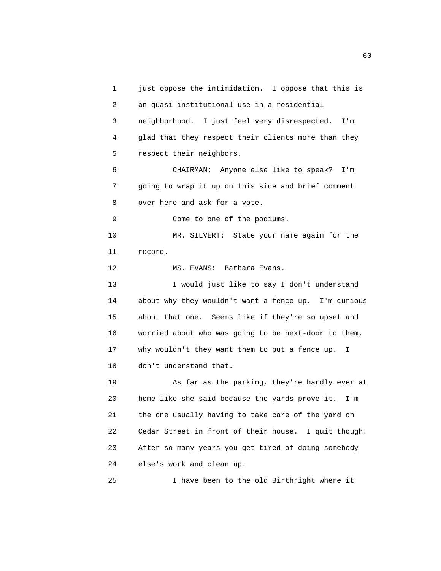1 just oppose the intimidation. I oppose that this is 2 an quasi institutional use in a residential 3 neighborhood. I just feel very disrespected. I'm 4 glad that they respect their clients more than they 5 respect their neighbors. 6 CHAIRMAN: Anyone else like to speak? I'm 7 going to wrap it up on this side and brief comment 8 over here and ask for a vote. 9 Come to one of the podiums. 10 MR. SILVERT: State your name again for the 11 record. 12 MS. EVANS: Barbara Evans. 13 I would just like to say I don't understand 14 about why they wouldn't want a fence up. I'm curious 15 about that one. Seems like if they're so upset and 16 worried about who was going to be next-door to them, 17 why wouldn't they want them to put a fence up. I 18 don't understand that. 19 As far as the parking, they're hardly ever at 20 home like she said because the yards prove it. I'm 21 the one usually having to take care of the yard on 22 Cedar Street in front of their house. I quit though. 23 After so many years you get tired of doing somebody 24 else's work and clean up. 25 I have been to the old Birthright where it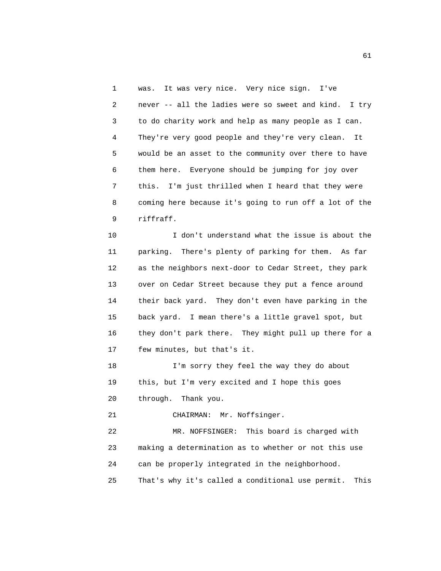1 was. It was very nice. Very nice sign. I've 2 never -- all the ladies were so sweet and kind. I try 3 to do charity work and help as many people as I can. 4 They're very good people and they're very clean. It 5 would be an asset to the community over there to have 6 them here. Everyone should be jumping for joy over 7 this. I'm just thrilled when I heard that they were 8 coming here because it's going to run off a lot of the 9 riffraff.

 10 I don't understand what the issue is about the 11 parking. There's plenty of parking for them. As far 12 as the neighbors next-door to Cedar Street, they park 13 over on Cedar Street because they put a fence around 14 their back yard. They don't even have parking in the 15 back yard. I mean there's a little gravel spot, but 16 they don't park there. They might pull up there for a 17 few minutes, but that's it.

 18 I'm sorry they feel the way they do about 19 this, but I'm very excited and I hope this goes 20 through. Thank you.

21 CHAIRMAN: Mr. Noffsinger.

 22 MR. NOFFSINGER: This board is charged with 23 making a determination as to whether or not this use 24 can be properly integrated in the neighborhood. 25 That's why it's called a conditional use permit. This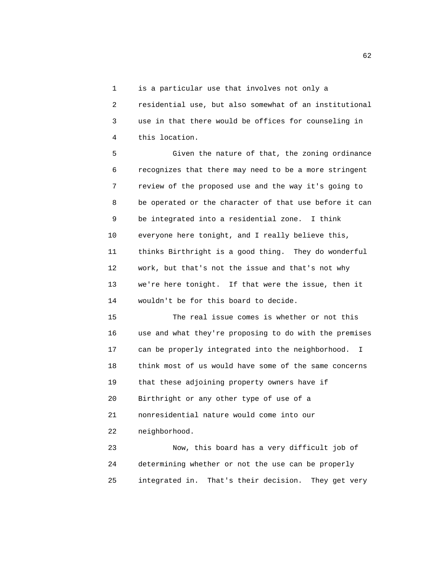1 is a particular use that involves not only a

 2 residential use, but also somewhat of an institutional 3 use in that there would be offices for counseling in 4 this location.

 5 Given the nature of that, the zoning ordinance 6 recognizes that there may need to be a more stringent 7 review of the proposed use and the way it's going to 8 be operated or the character of that use before it can 9 be integrated into a residential zone. I think 10 everyone here tonight, and I really believe this, 11 thinks Birthright is a good thing. They do wonderful 12 work, but that's not the issue and that's not why 13 we're here tonight. If that were the issue, then it 14 wouldn't be for this board to decide.

 15 The real issue comes is whether or not this 16 use and what they're proposing to do with the premises 17 can be properly integrated into the neighborhood. I 18 think most of us would have some of the same concerns 19 that these adjoining property owners have if 20 Birthright or any other type of use of a 21 nonresidential nature would come into our 22 neighborhood.

 23 Now, this board has a very difficult job of 24 determining whether or not the use can be properly 25 integrated in. That's their decision. They get very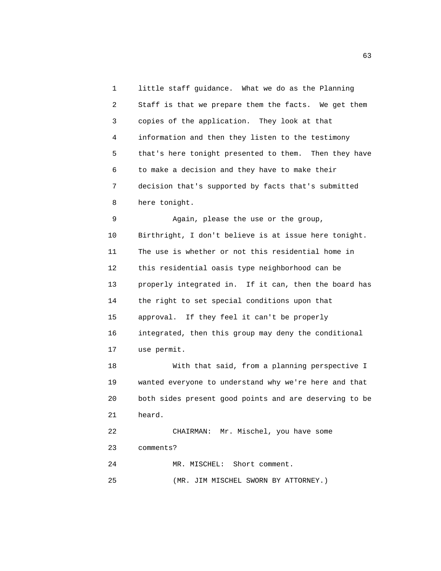1 little staff guidance. What we do as the Planning 2 Staff is that we prepare them the facts. We get them 3 copies of the application. They look at that 4 information and then they listen to the testimony 5 that's here tonight presented to them. Then they have 6 to make a decision and they have to make their 7 decision that's supported by facts that's submitted 8 here tonight. 9 Again, please the use or the group, 10 Birthright, I don't believe is at issue here tonight. 11 The use is whether or not this residential home in 12 this residential oasis type neighborhood can be 13 properly integrated in. If it can, then the board has 14 the right to set special conditions upon that 15 approval. If they feel it can't be properly 16 integrated, then this group may deny the conditional 17 use permit. 18 With that said, from a planning perspective I 19 wanted everyone to understand why we're here and that 20 both sides present good points and are deserving to be 21 heard. 22 CHAIRMAN: Mr. Mischel, you have some 23 comments? 24 MR. MISCHEL: Short comment. 25 (MR. JIM MISCHEL SWORN BY ATTORNEY.)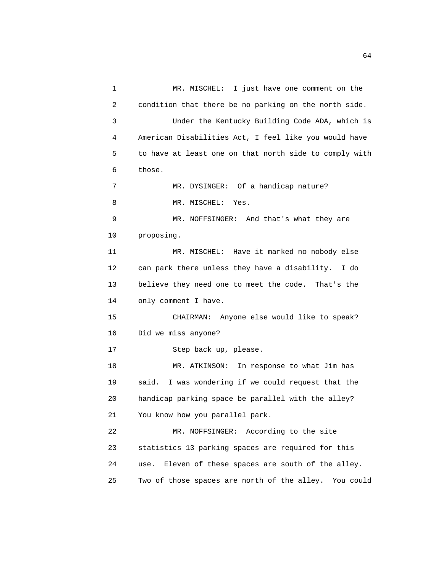1 MR. MISCHEL: I just have one comment on the 2 condition that there be no parking on the north side. 3 Under the Kentucky Building Code ADA, which is 4 American Disabilities Act, I feel like you would have 5 to have at least one on that north side to comply with 6 those. 7 MR. DYSINGER: Of a handicap nature? 8 MR. MISCHEL: Yes. 9 MR. NOFFSINGER: And that's what they are 10 proposing. 11 MR. MISCHEL: Have it marked no nobody else 12 can park there unless they have a disability. I do 13 believe they need one to meet the code. That's the 14 only comment I have. 15 CHAIRMAN: Anyone else would like to speak? 16 Did we miss anyone? 17 Step back up, please. 18 MR. ATKINSON: In response to what Jim has 19 said. I was wondering if we could request that the 20 handicap parking space be parallel with the alley? 21 You know how you parallel park. 22 MR. NOFFSINGER: According to the site 23 statistics 13 parking spaces are required for this 24 use. Eleven of these spaces are south of the alley. 25 Two of those spaces are north of the alley. You could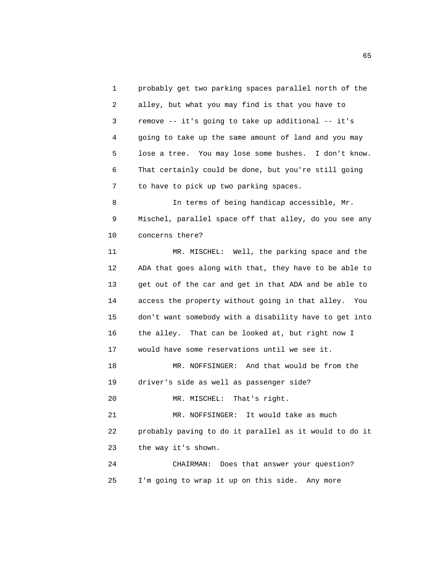1 probably get two parking spaces parallel north of the 2 alley, but what you may find is that you have to 3 remove -- it's going to take up additional -- it's 4 going to take up the same amount of land and you may 5 lose a tree. You may lose some bushes. I don't know. 6 That certainly could be done, but you're still going 7 to have to pick up two parking spaces. 8 In terms of being handicap accessible, Mr. 9 Mischel, parallel space off that alley, do you see any 10 concerns there?

 11 MR. MISCHEL: Well, the parking space and the 12 ADA that goes along with that, they have to be able to 13 get out of the car and get in that ADA and be able to 14 access the property without going in that alley. You 15 don't want somebody with a disability have to get into 16 the alley. That can be looked at, but right now I 17 would have some reservations until we see it.

 18 MR. NOFFSINGER: And that would be from the 19 driver's side as well as passenger side?

20 MR. MISCHEL: That's right.

 21 MR. NOFFSINGER: It would take as much 22 probably paving to do it parallel as it would to do it 23 the way it's shown.

 24 CHAIRMAN: Does that answer your question? 25 I'm going to wrap it up on this side. Any more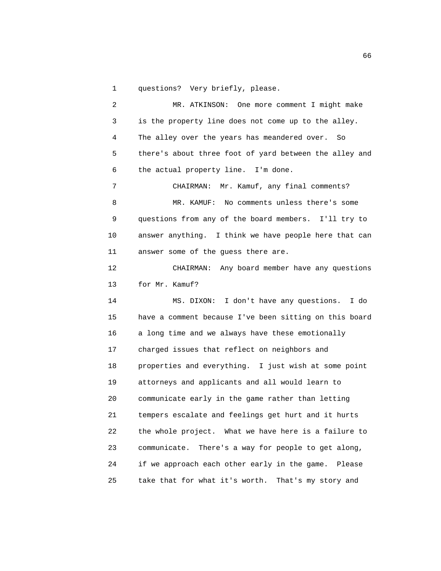1 questions? Very briefly, please.

 2 MR. ATKINSON: One more comment I might make 3 is the property line does not come up to the alley. 4 The alley over the years has meandered over. So 5 there's about three foot of yard between the alley and 6 the actual property line. I'm done. 7 CHAIRMAN: Mr. Kamuf, any final comments? 8 MR. KAMUF: No comments unless there's some 9 questions from any of the board members. I'll try to 10 answer anything. I think we have people here that can 11 answer some of the guess there are. 12 CHAIRMAN: Any board member have any questions 13 for Mr. Kamuf? 14 MS. DIXON: I don't have any questions. I do 15 have a comment because I've been sitting on this board 16 a long time and we always have these emotionally 17 charged issues that reflect on neighbors and 18 properties and everything. I just wish at some point 19 attorneys and applicants and all would learn to 20 communicate early in the game rather than letting 21 tempers escalate and feelings get hurt and it hurts

 22 the whole project. What we have here is a failure to 23 communicate. There's a way for people to get along, 24 if we approach each other early in the game. Please 25 take that for what it's worth. That's my story and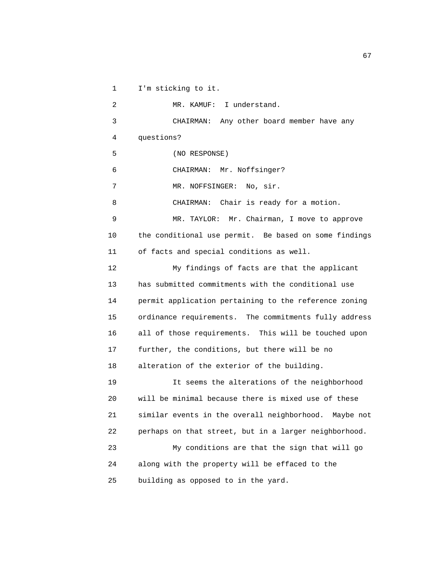1 I'm sticking to it. 2 MR. KAMUF: I understand. 3 CHAIRMAN: Any other board member have any 4 questions? 5 (NO RESPONSE) 6 CHAIRMAN: Mr. Noffsinger? 7 MR. NOFFSINGER: No, sir. 8 CHAIRMAN: Chair is ready for a motion. 9 MR. TAYLOR: Mr. Chairman, I move to approve 10 the conditional use permit. Be based on some findings 11 of facts and special conditions as well. 12 My findings of facts are that the applicant 13 has submitted commitments with the conditional use 14 permit application pertaining to the reference zoning 15 ordinance requirements. The commitments fully address 16 all of those requirements. This will be touched upon 17 further, the conditions, but there will be no 18 alteration of the exterior of the building. 19 It seems the alterations of the neighborhood 20 will be minimal because there is mixed use of these 21 similar events in the overall neighborhood. Maybe not 22 perhaps on that street, but in a larger neighborhood. 23 My conditions are that the sign that will go 24 along with the property will be effaced to the 25 building as opposed to in the yard.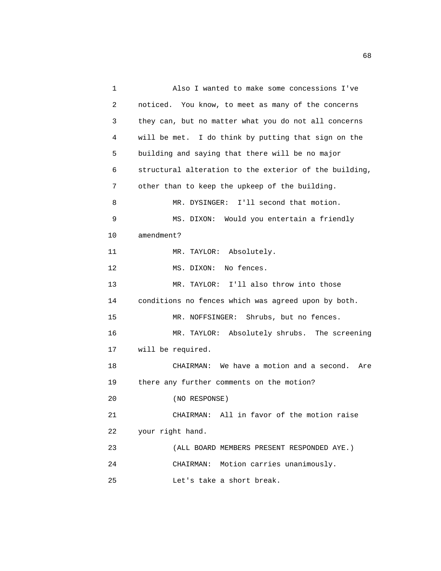1 Also I wanted to make some concessions I've 2 noticed. You know, to meet as many of the concerns 3 they can, but no matter what you do not all concerns 4 will be met. I do think by putting that sign on the 5 building and saying that there will be no major 6 structural alteration to the exterior of the building, 7 other than to keep the upkeep of the building. 8 MR. DYSINGER: I'll second that motion. 9 MS. DIXON: Would you entertain a friendly 10 amendment? 11 MR. TAYLOR: Absolutely. 12 MS. DIXON: No fences. 13 MR. TAYLOR: I'll also throw into those 14 conditions no fences which was agreed upon by both. 15 MR. NOFFSINGER: Shrubs, but no fences. 16 MR. TAYLOR: Absolutely shrubs. The screening 17 will be required. 18 CHAIRMAN: We have a motion and a second. Are 19 there any further comments on the motion? 20 (NO RESPONSE) 21 CHAIRMAN: All in favor of the motion raise 22 your right hand. 23 (ALL BOARD MEMBERS PRESENT RESPONDED AYE.) 24 CHAIRMAN: Motion carries unanimously. 25 Let's take a short break.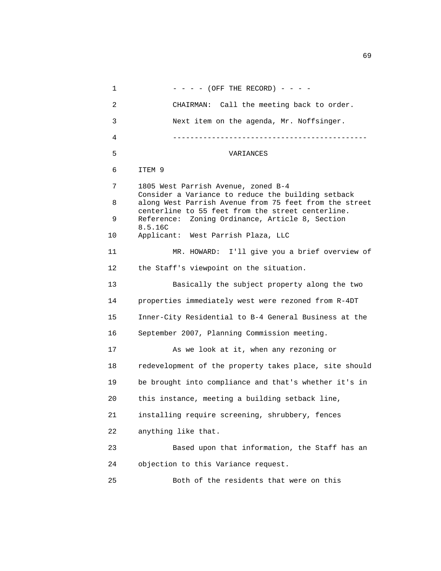1  $- - - (-$  (OFF THE RECORD)  $- - -$  2 CHAIRMAN: Call the meeting back to order. 3 Next item on the agenda, Mr. Noffsinger. 4 --------------------------------------------- 5 VARIANCES 6 ITEM 9 7 1805 West Parrish Avenue, zoned B-4 Consider a Variance to reduce the building setback 8 along West Parrish Avenue from 75 feet from the street centerline to 55 feet from the street centerline. 9 Reference: Zoning Ordinance, Article 8, Section 8.5.16C 10 Applicant: West Parrish Plaza, LLC 11 MR. HOWARD: I'll give you a brief overview of 12 the Staff's viewpoint on the situation. 13 Basically the subject property along the two 14 properties immediately west were rezoned from R-4DT 15 Inner-City Residential to B-4 General Business at the 16 September 2007, Planning Commission meeting. 17 As we look at it, when any rezoning or 18 redevelopment of the property takes place, site should 19 be brought into compliance and that's whether it's in 20 this instance, meeting a building setback line, 21 installing require screening, shrubbery, fences 22 anything like that. 23 Based upon that information, the Staff has an 24 objection to this Variance request. 25 Both of the residents that were on this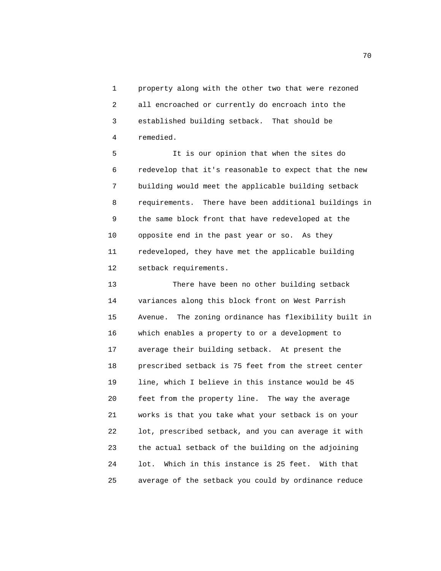1 property along with the other two that were rezoned 2 all encroached or currently do encroach into the 3 established building setback. That should be 4 remedied.

 5 It is our opinion that when the sites do 6 redevelop that it's reasonable to expect that the new 7 building would meet the applicable building setback 8 requirements. There have been additional buildings in 9 the same block front that have redeveloped at the 10 opposite end in the past year or so. As they 11 redeveloped, they have met the applicable building 12 setback requirements.

 13 There have been no other building setback 14 variances along this block front on West Parrish 15 Avenue. The zoning ordinance has flexibility built in 16 which enables a property to or a development to 17 average their building setback. At present the 18 prescribed setback is 75 feet from the street center 19 line, which I believe in this instance would be 45 20 feet from the property line. The way the average 21 works is that you take what your setback is on your 22 lot, prescribed setback, and you can average it with 23 the actual setback of the building on the adjoining 24 lot. Which in this instance is 25 feet. With that 25 average of the setback you could by ordinance reduce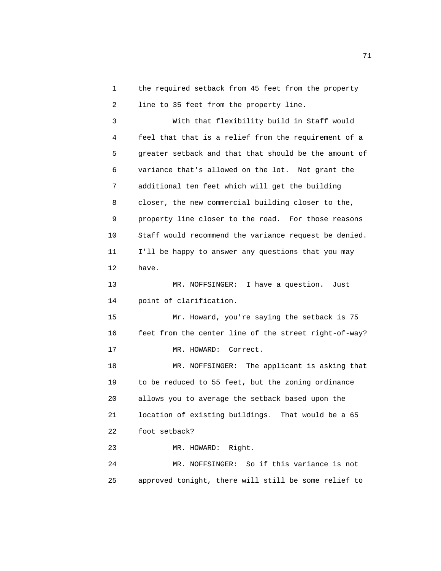1 the required setback from 45 feet from the property 2 line to 35 feet from the property line.

 3 With that flexibility build in Staff would 4 feel that that is a relief from the requirement of a 5 greater setback and that that should be the amount of 6 variance that's allowed on the lot. Not grant the 7 additional ten feet which will get the building 8 closer, the new commercial building closer to the, 9 property line closer to the road. For those reasons 10 Staff would recommend the variance request be denied. 11 I'll be happy to answer any questions that you may 12 have.

 13 MR. NOFFSINGER: I have a question. Just 14 point of clarification.

 15 Mr. Howard, you're saying the setback is 75 16 feet from the center line of the street right-of-way? 17 MR. HOWARD: Correct.

 18 MR. NOFFSINGER: The applicant is asking that 19 to be reduced to 55 feet, but the zoning ordinance 20 allows you to average the setback based upon the 21 location of existing buildings. That would be a 65 22 foot setback?

23 MR. HOWARD: Right.

 24 MR. NOFFSINGER: So if this variance is not 25 approved tonight, there will still be some relief to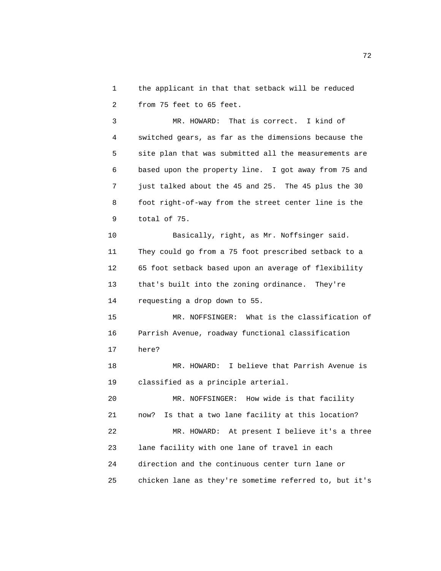1 the applicant in that that setback will be reduced 2 from 75 feet to 65 feet.

 3 MR. HOWARD: That is correct. I kind of 4 switched gears, as far as the dimensions because the 5 site plan that was submitted all the measurements are 6 based upon the property line. I got away from 75 and 7 just talked about the 45 and 25. The 45 plus the 30 8 foot right-of-way from the street center line is the 9 total of 75.

 10 Basically, right, as Mr. Noffsinger said. 11 They could go from a 75 foot prescribed setback to a 12 65 foot setback based upon an average of flexibility 13 that's built into the zoning ordinance. They're 14 requesting a drop down to 55.

 15 MR. NOFFSINGER: What is the classification of 16 Parrish Avenue, roadway functional classification 17 here?

 18 MR. HOWARD: I believe that Parrish Avenue is 19 classified as a principle arterial.

 20 MR. NOFFSINGER: How wide is that facility 21 now? Is that a two lane facility at this location? 22 MR. HOWARD: At present I believe it's a three 23 lane facility with one lane of travel in each

 24 direction and the continuous center turn lane or 25 chicken lane as they're sometime referred to, but it's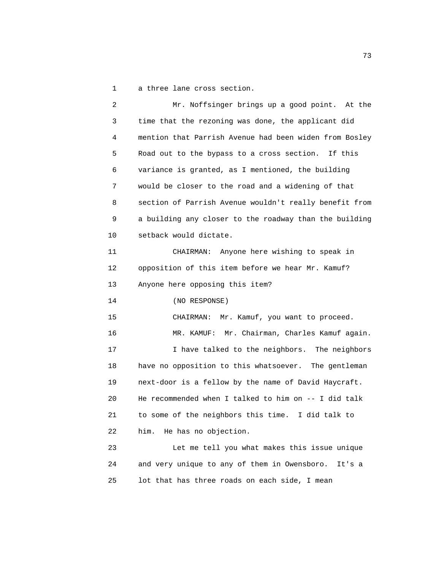1 a three lane cross section.

 2 Mr. Noffsinger brings up a good point. At the 3 time that the rezoning was done, the applicant did 4 mention that Parrish Avenue had been widen from Bosley 5 Road out to the bypass to a cross section. If this 6 variance is granted, as I mentioned, the building 7 would be closer to the road and a widening of that 8 section of Parrish Avenue wouldn't really benefit from 9 a building any closer to the roadway than the building 10 setback would dictate. 11 CHAIRMAN: Anyone here wishing to speak in 12 opposition of this item before we hear Mr. Kamuf? 13 Anyone here opposing this item? 14 (NO RESPONSE) 15 CHAIRMAN: Mr. Kamuf, you want to proceed. 16 MR. KAMUF: Mr. Chairman, Charles Kamuf again. 17 I have talked to the neighbors. The neighbors 18 have no opposition to this whatsoever. The gentleman 19 next-door is a fellow by the name of David Haycraft. 20 He recommended when I talked to him on -- I did talk 21 to some of the neighbors this time. I did talk to 22 him. He has no objection. 23 Let me tell you what makes this issue unique 24 and very unique to any of them in Owensboro. It's a

25 lot that has three roads on each side, I mean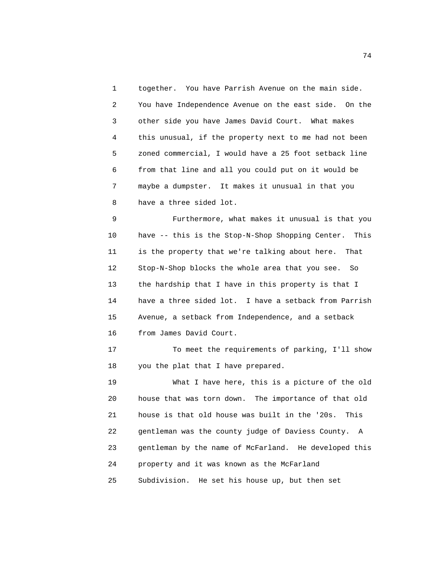1 together. You have Parrish Avenue on the main side. 2 You have Independence Avenue on the east side. On the 3 other side you have James David Court. What makes 4 this unusual, if the property next to me had not been 5 zoned commercial, I would have a 25 foot setback line 6 from that line and all you could put on it would be 7 maybe a dumpster. It makes it unusual in that you 8 have a three sided lot.

 9 Furthermore, what makes it unusual is that you 10 have -- this is the Stop-N-Shop Shopping Center. This 11 is the property that we're talking about here. That 12 Stop-N-Shop blocks the whole area that you see. So 13 the hardship that I have in this property is that I 14 have a three sided lot. I have a setback from Parrish 15 Avenue, a setback from Independence, and a setback 16 from James David Court.

 17 To meet the requirements of parking, I'll show 18 you the plat that I have prepared.

 19 What I have here, this is a picture of the old 20 house that was torn down. The importance of that old 21 house is that old house was built in the '20s. This 22 gentleman was the county judge of Daviess County. A 23 gentleman by the name of McFarland. He developed this 24 property and it was known as the McFarland 25 Subdivision. He set his house up, but then set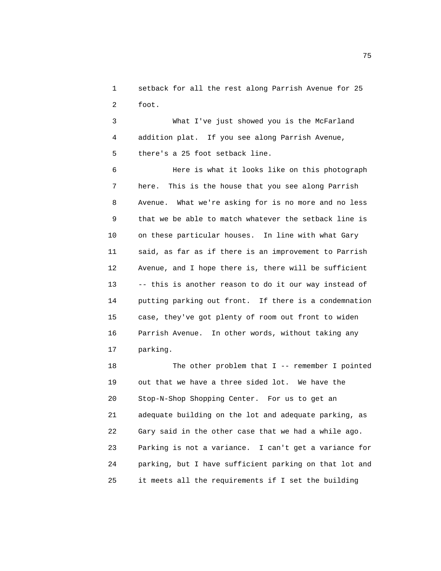1 setback for all the rest along Parrish Avenue for 25 2 foot.

 3 What I've just showed you is the McFarland 4 addition plat. If you see along Parrish Avenue, 5 there's a 25 foot setback line.

 6 Here is what it looks like on this photograph 7 here. This is the house that you see along Parrish 8 Avenue. What we're asking for is no more and no less 9 that we be able to match whatever the setback line is 10 on these particular houses. In line with what Gary 11 said, as far as if there is an improvement to Parrish 12 Avenue, and I hope there is, there will be sufficient 13 -- this is another reason to do it our way instead of 14 putting parking out front. If there is a condemnation 15 case, they've got plenty of room out front to widen 16 Parrish Avenue. In other words, without taking any 17 parking.

18 The other problem that I -- remember I pointed 19 out that we have a three sided lot. We have the 20 Stop-N-Shop Shopping Center. For us to get an 21 adequate building on the lot and adequate parking, as 22 Gary said in the other case that we had a while ago. 23 Parking is not a variance. I can't get a variance for 24 parking, but I have sufficient parking on that lot and 25 it meets all the requirements if I set the building

na matsay na katalog as na kasang na mga 1952. Ang isang mga 1952 na mga 1952 na mga 1953 na mga 1953 na mga 1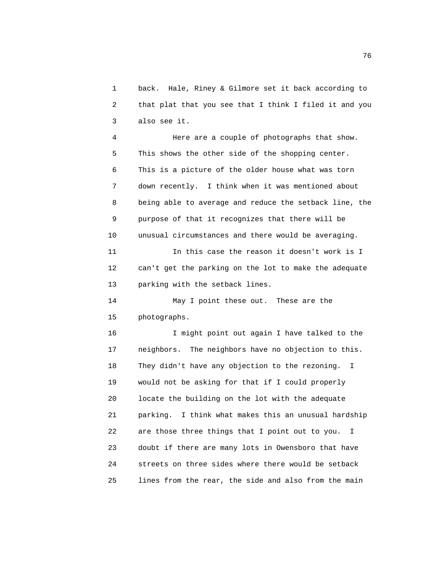1 back. Hale, Riney & Gilmore set it back according to 2 that plat that you see that I think I filed it and you 3 also see it.

 4 Here are a couple of photographs that show. 5 This shows the other side of the shopping center. 6 This is a picture of the older house what was torn 7 down recently. I think when it was mentioned about 8 being able to average and reduce the setback line, the 9 purpose of that it recognizes that there will be 10 unusual circumstances and there would be averaging.

 11 In this case the reason it doesn't work is I 12 can't get the parking on the lot to make the adequate 13 parking with the setback lines.

 14 May I point these out. These are the 15 photographs.

 16 I might point out again I have talked to the 17 neighbors. The neighbors have no objection to this. 18 They didn't have any objection to the rezoning. I 19 would not be asking for that if I could properly 20 locate the building on the lot with the adequate 21 parking. I think what makes this an unusual hardship 22 are those three things that I point out to you. I 23 doubt if there are many lots in Owensboro that have 24 streets on three sides where there would be setback 25 lines from the rear, the side and also from the main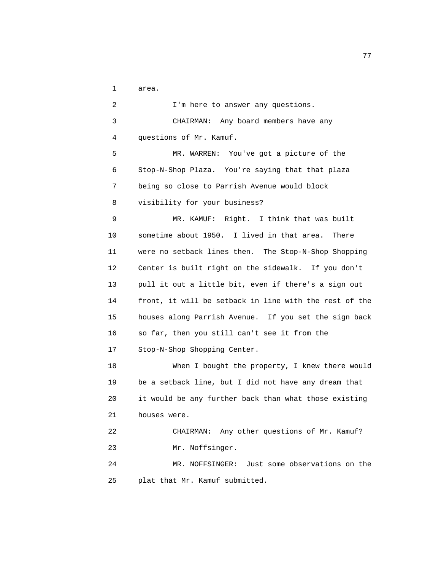1 area.

 2 I'm here to answer any questions. 3 CHAIRMAN: Any board members have any 4 questions of Mr. Kamuf. 5 MR. WARREN: You've got a picture of the 6 Stop-N-Shop Plaza. You're saying that that plaza 7 being so close to Parrish Avenue would block 8 visibility for your business? 9 MR. KAMUF: Right. I think that was built 10 sometime about 1950. I lived in that area. There 11 were no setback lines then. The Stop-N-Shop Shopping 12 Center is built right on the sidewalk. If you don't 13 pull it out a little bit, even if there's a sign out 14 front, it will be setback in line with the rest of the 15 houses along Parrish Avenue. If you set the sign back 16 so far, then you still can't see it from the 17 Stop-N-Shop Shopping Center. 18 When I bought the property, I knew there would 19 be a setback line, but I did not have any dream that 20 it would be any further back than what those existing 21 houses were. 22 CHAIRMAN: Any other questions of Mr. Kamuf? 23 Mr. Noffsinger. 24 MR. NOFFSINGER: Just some observations on the 25 plat that Mr. Kamuf submitted.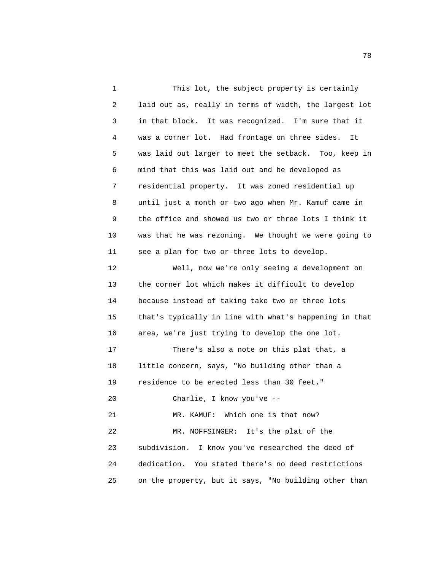1 This lot, the subject property is certainly 2 laid out as, really in terms of width, the largest lot 3 in that block. It was recognized. I'm sure that it 4 was a corner lot. Had frontage on three sides. It 5 was laid out larger to meet the setback. Too, keep in 6 mind that this was laid out and be developed as 7 residential property. It was zoned residential up 8 until just a month or two ago when Mr. Kamuf came in 9 the office and showed us two or three lots I think it 10 was that he was rezoning. We thought we were going to 11 see a plan for two or three lots to develop. 12 Well, now we're only seeing a development on 13 the corner lot which makes it difficult to develop 14 because instead of taking take two or three lots 15 that's typically in line with what's happening in that 16 area, we're just trying to develop the one lot. 17 There's also a note on this plat that, a 18 little concern, says, "No building other than a 19 residence to be erected less than 30 feet." 20 Charlie, I know you've -- 21 MR. KAMUF: Which one is that now? 22 MR. NOFFSINGER: It's the plat of the 23 subdivision. I know you've researched the deed of 24 dedication. You stated there's no deed restrictions 25 on the property, but it says, "No building other than

n a shekarar 178 haqida tekshirilgan tashkil qayta tekshirilgan tashkil qayta tekshirilgan tashkil qayta teksh<br>Tashkil qayta tekshirilgan tashkil qayta tekshirilgan tashkil qayta tekshirilgan tashkil qayta tekshirilgan ta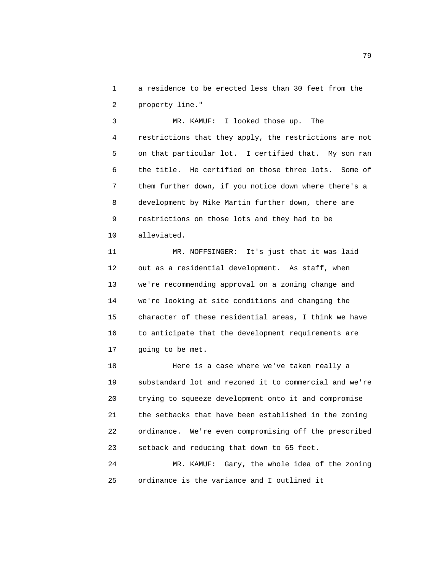1 a residence to be erected less than 30 feet from the 2 property line."

 3 MR. KAMUF: I looked those up. The 4 restrictions that they apply, the restrictions are not 5 on that particular lot. I certified that. My son ran 6 the title. He certified on those three lots. Some of 7 them further down, if you notice down where there's a 8 development by Mike Martin further down, there are 9 restrictions on those lots and they had to be 10 alleviated.

 11 MR. NOFFSINGER: It's just that it was laid 12 out as a residential development. As staff, when 13 we're recommending approval on a zoning change and 14 we're looking at site conditions and changing the 15 character of these residential areas, I think we have 16 to anticipate that the development requirements are 17 going to be met.

 18 Here is a case where we've taken really a 19 substandard lot and rezoned it to commercial and we're 20 trying to squeeze development onto it and compromise 21 the setbacks that have been established in the zoning 22 ordinance. We're even compromising off the prescribed 23 setback and reducing that down to 65 feet.

 24 MR. KAMUF: Gary, the whole idea of the zoning 25 ordinance is the variance and I outlined it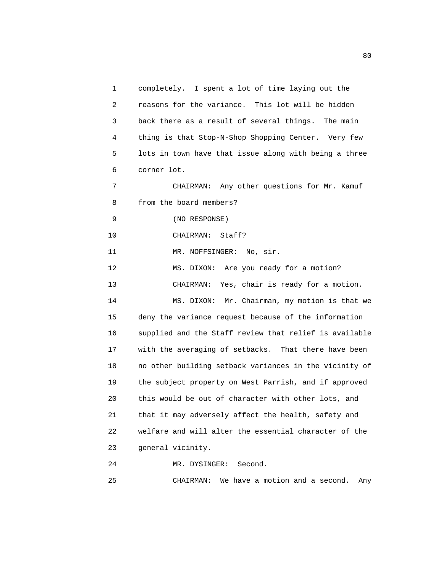1 completely. I spent a lot of time laying out the 2 reasons for the variance. This lot will be hidden 3 back there as a result of several things. The main 4 thing is that Stop-N-Shop Shopping Center. Very few 5 lots in town have that issue along with being a three 6 corner lot. 7 CHAIRMAN: Any other questions for Mr. Kamuf 8 from the board members? 9 (NO RESPONSE) 10 CHAIRMAN: Staff? 11 MR. NOFFSINGER: No, sir. 12 MS. DIXON: Are you ready for a motion? 13 CHAIRMAN: Yes, chair is ready for a motion. 14 MS. DIXON: Mr. Chairman, my motion is that we 15 deny the variance request because of the information 16 supplied and the Staff review that relief is available 17 with the averaging of setbacks. That there have been 18 no other building setback variances in the vicinity of 19 the subject property on West Parrish, and if approved 20 this would be out of character with other lots, and 21 that it may adversely affect the health, safety and 22 welfare and will alter the essential character of the 23 general vicinity. 24 MR. DYSINGER: Second.

25 CHAIRMAN: We have a motion and a second. Any

experience of the state of the state of the state of the state of the state of the state of the state of the s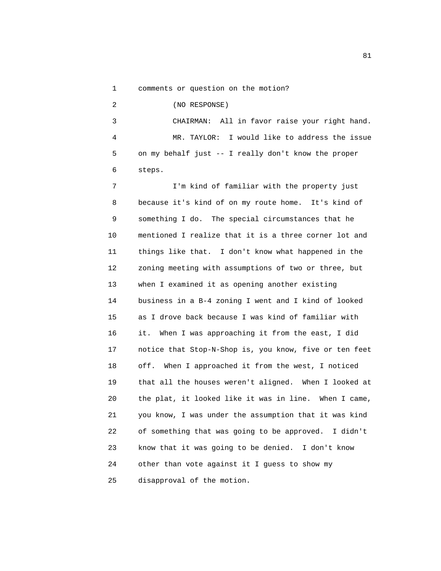1 comments or question on the motion?

 2 (NO RESPONSE) 3 CHAIRMAN: All in favor raise your right hand. 4 MR. TAYLOR: I would like to address the issue 5 on my behalf just -- I really don't know the proper 6 steps.

 7 I'm kind of familiar with the property just 8 because it's kind of on my route home. It's kind of 9 something I do. The special circumstances that he 10 mentioned I realize that it is a three corner lot and 11 things like that. I don't know what happened in the 12 zoning meeting with assumptions of two or three, but 13 when I examined it as opening another existing 14 business in a B-4 zoning I went and I kind of looked 15 as I drove back because I was kind of familiar with 16 it. When I was approaching it from the east, I did 17 notice that Stop-N-Shop is, you know, five or ten feet 18 off. When I approached it from the west, I noticed 19 that all the houses weren't aligned. When I looked at 20 the plat, it looked like it was in line. When I came, 21 you know, I was under the assumption that it was kind 22 of something that was going to be approved. I didn't 23 know that it was going to be denied. I don't know 24 other than vote against it I guess to show my 25 disapproval of the motion.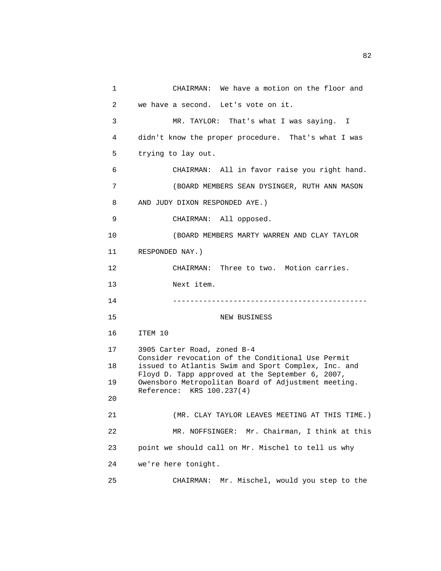```
 1 CHAIRMAN: We have a motion on the floor and 
 2 we have a second. Let's vote on it. 
 3 MR. TAYLOR: That's what I was saying. I 
 4 didn't know the proper procedure. That's what I was 
 5 trying to lay out. 
 6 CHAIRMAN: All in favor raise you right hand. 
 7 (BOARD MEMBERS SEAN DYSINGER, RUTH ANN MASON 
 8 AND JUDY DIXON RESPONDED AYE.) 
 9 CHAIRMAN: All opposed. 
 10 (BOARD MEMBERS MARTY WARREN AND CLAY TAYLOR 
 11 RESPONDED NAY.) 
 12 CHAIRMAN: Three to two. Motion carries. 
 13 Next item. 
 14 --------------------------------------------- 
15 NEW BUSINESS
 16 ITEM 10 
 17 3905 Carter Road, zoned B-4 
       Consider revocation of the Conditional Use Permit 
 18 issued to Atlantis Swim and Sport Complex, Inc. and 
       Floyd D. Tapp approved at the September 6, 2007, 
 19 Owensboro Metropolitan Board of Adjustment meeting. 
       Reference: KRS 100.237(4) 
 20 
 21 (MR. CLAY TAYLOR LEAVES MEETING AT THIS TIME.) 
 22 MR. NOFFSINGER: Mr. Chairman, I think at this 
 23 point we should call on Mr. Mischel to tell us why 
 24 we're here tonight. 
 25 CHAIRMAN: Mr. Mischel, would you step to the
```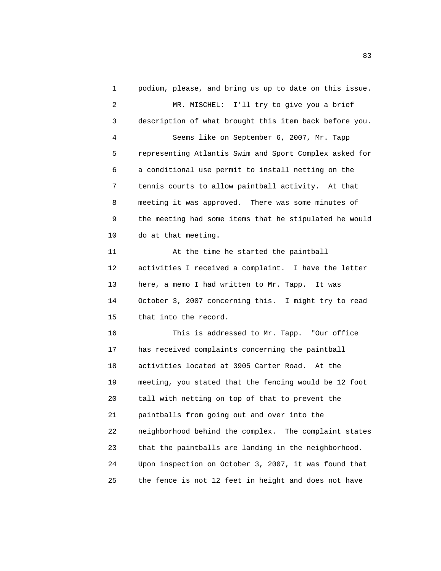1 podium, please, and bring us up to date on this issue. 2 MR. MISCHEL: I'll try to give you a brief 3 description of what brought this item back before you. 4 Seems like on September 6, 2007, Mr. Tapp 5 representing Atlantis Swim and Sport Complex asked for 6 a conditional use permit to install netting on the 7 tennis courts to allow paintball activity. At that 8 meeting it was approved. There was some minutes of 9 the meeting had some items that he stipulated he would 10 do at that meeting. 11 At the time he started the paintball 12 activities I received a complaint. I have the letter 13 here, a memo I had written to Mr. Tapp. It was 14 October 3, 2007 concerning this. I might try to read 15 that into the record. 16 This is addressed to Mr. Tapp. "Our office 17 has received complaints concerning the paintball 18 activities located at 3905 Carter Road. At the 19 meeting, you stated that the fencing would be 12 foot 20 tall with netting on top of that to prevent the 21 paintballs from going out and over into the 22 neighborhood behind the complex. The complaint states 23 that the paintballs are landing in the neighborhood. 24 Upon inspection on October 3, 2007, it was found that 25 the fence is not 12 feet in height and does not have

experience of the state of the state of the state of the state of the state of the state of the state of the s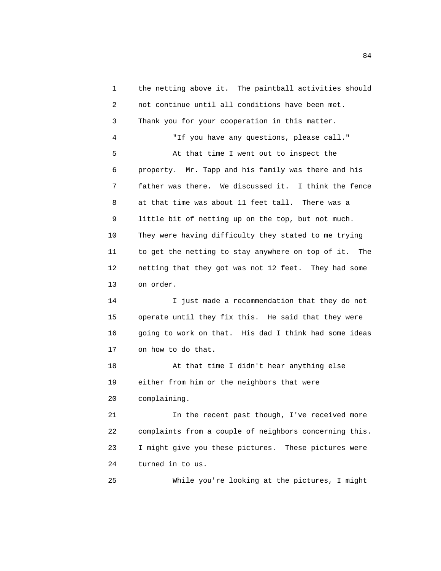1 the netting above it. The paintball activities should 2 not continue until all conditions have been met. 3 Thank you for your cooperation in this matter. 4 "If you have any questions, please call." 5 At that time I went out to inspect the 6 property. Mr. Tapp and his family was there and his 7 father was there. We discussed it. I think the fence 8 at that time was about 11 feet tall. There was a 9 little bit of netting up on the top, but not much. 10 They were having difficulty they stated to me trying 11 to get the netting to stay anywhere on top of it. The 12 netting that they got was not 12 feet. They had some 13 on order. 14 I just made a recommendation that they do not 15 operate until they fix this. He said that they were 16 going to work on that. His dad I think had some ideas 17 on how to do that. 18 At that time I didn't hear anything else 19 either from him or the neighbors that were 20 complaining. 21 In the recent past though, I've received more 22 complaints from a couple of neighbors concerning this. 23 I might give you these pictures. These pictures were 24 turned in to us. 25 While you're looking at the pictures, I might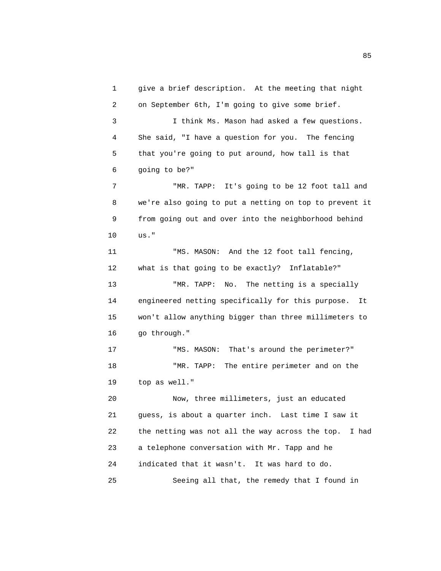1 give a brief description. At the meeting that night 2 on September 6th, I'm going to give some brief. 3 I think Ms. Mason had asked a few questions. 4 She said, "I have a question for you. The fencing 5 that you're going to put around, how tall is that 6 going to be?" 7 THR. TAPP: It's going to be 12 foot tall and 8 we're also going to put a netting on top to prevent it 9 from going out and over into the neighborhood behind 10 us." 11 "MS. MASON: And the 12 foot tall fencing, 12 what is that going to be exactly? Inflatable?" 13 TMR. TAPP: No. The netting is a specially 14 engineered netting specifically for this purpose. It 15 won't allow anything bigger than three millimeters to 16 go through." 17 "MS. MASON: That's around the perimeter?" 18 "MR. TAPP: The entire perimeter and on the 19 top as well." 20 Now, three millimeters, just an educated 21 guess, is about a quarter inch. Last time I saw it 22 the netting was not all the way across the top. I had 23 a telephone conversation with Mr. Tapp and he 24 indicated that it wasn't. It was hard to do. 25 Seeing all that, the remedy that I found in

experience of the contract of the contract of the contract of the contract of the contract of the contract of the contract of the contract of the contract of the contract of the contract of the contract of the contract of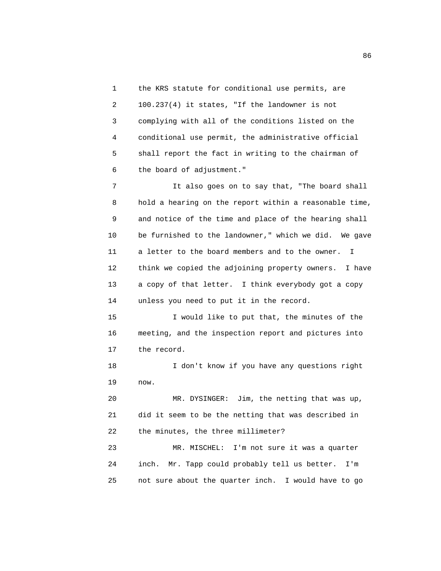1 the KRS statute for conditional use permits, are 2 100.237(4) it states, "If the landowner is not 3 complying with all of the conditions listed on the 4 conditional use permit, the administrative official 5 shall report the fact in writing to the chairman of 6 the board of adjustment."

 7 It also goes on to say that, "The board shall 8 hold a hearing on the report within a reasonable time, 9 and notice of the time and place of the hearing shall 10 be furnished to the landowner," which we did. We gave 11 a letter to the board members and to the owner. I 12 think we copied the adjoining property owners. I have 13 a copy of that letter. I think everybody got a copy 14 unless you need to put it in the record.

 15 I would like to put that, the minutes of the 16 meeting, and the inspection report and pictures into 17 the record.

 18 I don't know if you have any questions right 19 now.

 20 MR. DYSINGER: Jim, the netting that was up, 21 did it seem to be the netting that was described in 22 the minutes, the three millimeter?

 23 MR. MISCHEL: I'm not sure it was a quarter 24 inch. Mr. Tapp could probably tell us better. I'm 25 not sure about the quarter inch. I would have to go

<u>86 and 2001 and 2002 and 2003 and 2003 and 2003 and 2003 and 2003 and 2003 and 2003 and 2003 and 2003 and 200</u>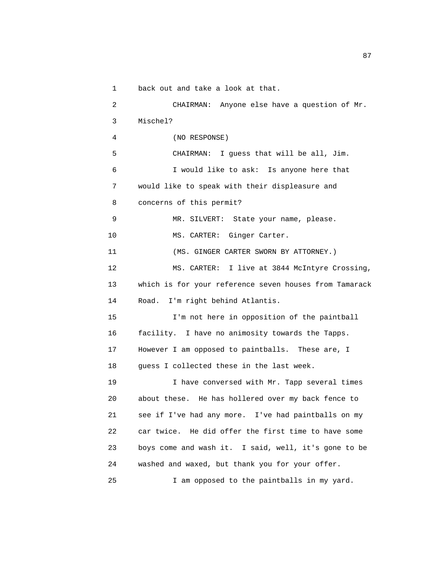1 back out and take a look at that.

 2 CHAIRMAN: Anyone else have a question of Mr. 3 Mischel? 4 (NO RESPONSE) 5 CHAIRMAN: I guess that will be all, Jim. 6 I would like to ask: Is anyone here that 7 would like to speak with their displeasure and 8 concerns of this permit? 9 MR. SILVERT: State your name, please. 10 MS. CARTER: Ginger Carter. 11 (MS. GINGER CARTER SWORN BY ATTORNEY.) 12 MS. CARTER: I live at 3844 McIntyre Crossing, 13 which is for your reference seven houses from Tamarack 14 Road. I'm right behind Atlantis. 15 I'm not here in opposition of the paintball 16 facility. I have no animosity towards the Tapps. 17 However I am opposed to paintballs. These are, I 18 guess I collected these in the last week. 19 I have conversed with Mr. Tapp several times 20 about these. He has hollered over my back fence to 21 see if I've had any more. I've had paintballs on my 22 car twice. He did offer the first time to have some 23 boys come and wash it. I said, well, it's gone to be 24 washed and waxed, but thank you for your offer. 25 I am opposed to the paintballs in my yard.

experience of the contract of the contract of the contract of the contract of the contract of the contract of the contract of the contract of the contract of the contract of the contract of the contract of the contract of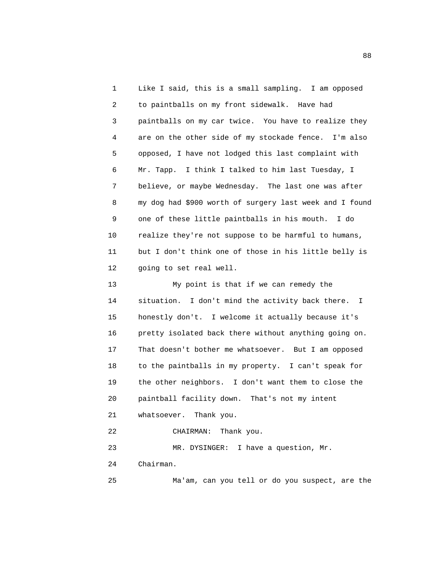1 Like I said, this is a small sampling. I am opposed 2 to paintballs on my front sidewalk. Have had 3 paintballs on my car twice. You have to realize they 4 are on the other side of my stockade fence. I'm also 5 opposed, I have not lodged this last complaint with 6 Mr. Tapp. I think I talked to him last Tuesday, I 7 believe, or maybe Wednesday. The last one was after 8 my dog had \$900 worth of surgery last week and I found 9 one of these little paintballs in his mouth. I do 10 realize they're not suppose to be harmful to humans, 11 but I don't think one of those in his little belly is 12 going to set real well.

 13 My point is that if we can remedy the 14 situation. I don't mind the activity back there. I 15 honestly don't. I welcome it actually because it's 16 pretty isolated back there without anything going on. 17 That doesn't bother me whatsoever. But I am opposed 18 to the paintballs in my property. I can't speak for 19 the other neighbors. I don't want them to close the 20 paintball facility down. That's not my intent 21 whatsoever. Thank you. 22 CHAIRMAN: Thank you. 23 MR. DYSINGER: I have a question, Mr. 24 Chairman.

25 Ma'am, can you tell or do you suspect, are the

en de la construction de la construction de la construction de la construction de la construction de la constr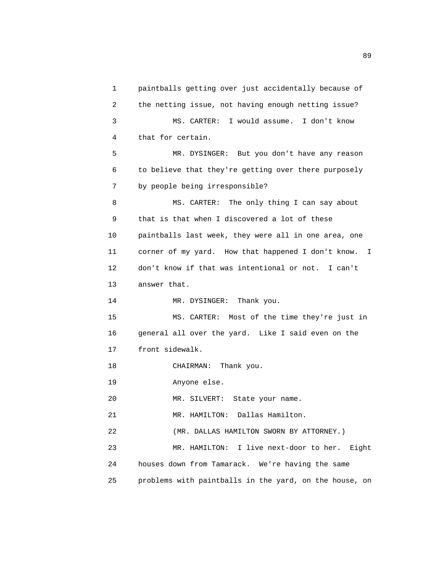1 paintballs getting over just accidentally because of 2 the netting issue, not having enough netting issue? 3 MS. CARTER: I would assume. I don't know 4 that for certain. 5 MR. DYSINGER: But you don't have any reason 6 to believe that they're getting over there purposely 7 by people being irresponsible? 8 MS. CARTER: The only thing I can say about 9 that is that when I discovered a lot of these 10 paintballs last week, they were all in one area, one 11 corner of my yard. How that happened I don't know. I 12 don't know if that was intentional or not. I can't 13 answer that. 14 MR. DYSINGER: Thank you. 15 MS. CARTER: Most of the time they're just in 16 general all over the yard. Like I said even on the 17 front sidewalk. 18 CHAIRMAN: Thank you. 19 Anyone else. 20 MR. SILVERT: State your name. 21 MR. HAMILTON: Dallas Hamilton. 22 (MR. DALLAS HAMILTON SWORN BY ATTORNEY.) 23 MR. HAMILTON: I live next-door to her. Eight 24 houses down from Tamarack. We're having the same 25 problems with paintballs in the yard, on the house, on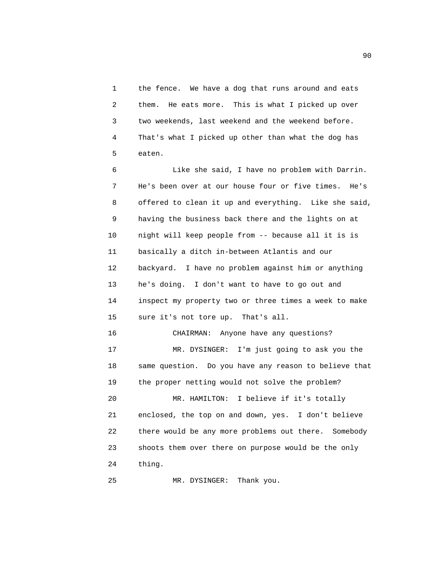1 the fence. We have a dog that runs around and eats 2 them. He eats more. This is what I picked up over 3 two weekends, last weekend and the weekend before. 4 That's what I picked up other than what the dog has 5 eaten.

 6 Like she said, I have no problem with Darrin. 7 He's been over at our house four or five times. He's 8 offered to clean it up and everything. Like she said, 9 having the business back there and the lights on at 10 night will keep people from -- because all it is is 11 basically a ditch in-between Atlantis and our 12 backyard. I have no problem against him or anything 13 he's doing. I don't want to have to go out and 14 inspect my property two or three times a week to make 15 sure it's not tore up. That's all.

16 CHAIRMAN: Anyone have any questions?

 17 MR. DYSINGER: I'm just going to ask you the 18 same question. Do you have any reason to believe that 19 the proper netting would not solve the problem?

 20 MR. HAMILTON: I believe if it's totally 21 enclosed, the top on and down, yes. I don't believe 22 there would be any more problems out there. Somebody 23 shoots them over there on purpose would be the only 24 thing.

25 MR. DYSINGER: Thank you.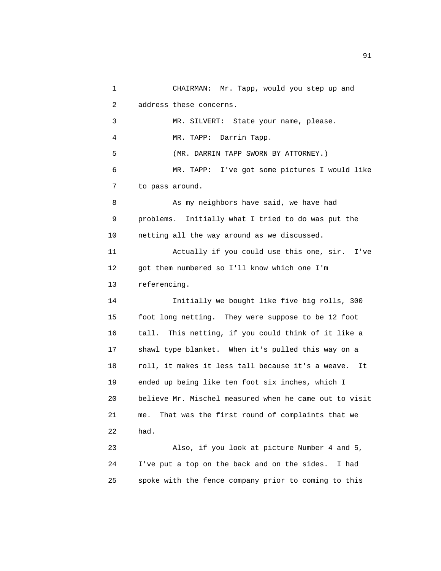1 CHAIRMAN: Mr. Tapp, would you step up and 2 address these concerns. 3 MR. SILVERT: State your name, please. 4 MR. TAPP: Darrin Tapp. 5 (MR. DARRIN TAPP SWORN BY ATTORNEY.) 6 MR. TAPP: I've got some pictures I would like 7 to pass around. 8 As my neighbors have said, we have had 9 problems. Initially what I tried to do was put the 10 netting all the way around as we discussed. 11 Actually if you could use this one, sir. I've 12 got them numbered so I'll know which one I'm 13 referencing. 14 Initially we bought like five big rolls, 300 15 foot long netting. They were suppose to be 12 foot 16 tall. This netting, if you could think of it like a 17 shawl type blanket. When it's pulled this way on a 18 roll, it makes it less tall because it's a weave. It 19 ended up being like ten foot six inches, which I 20 believe Mr. Mischel measured when he came out to visit 21 me. That was the first round of complaints that we 22 had. 23 Also, if you look at picture Number 4 and 5, 24 I've put a top on the back and on the sides. I had 25 spoke with the fence company prior to coming to this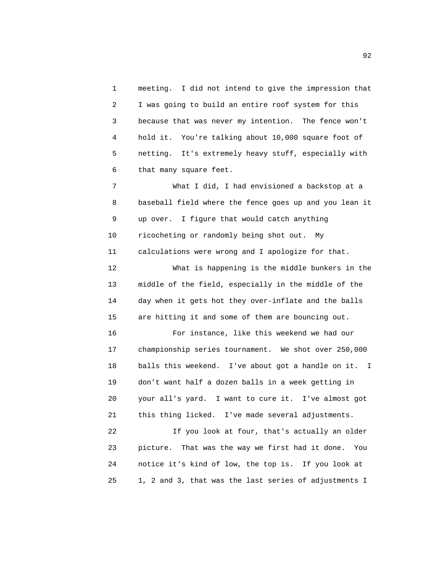1 meeting. I did not intend to give the impression that 2 I was going to build an entire roof system for this 3 because that was never my intention. The fence won't 4 hold it. You're talking about 10,000 square foot of 5 netting. It's extremely heavy stuff, especially with 6 that many square feet.

 7 What I did, I had envisioned a backstop at a 8 baseball field where the fence goes up and you lean it 9 up over. I figure that would catch anything 10 ricocheting or randomly being shot out. My 11 calculations were wrong and I apologize for that.

 12 What is happening is the middle bunkers in the 13 middle of the field, especially in the middle of the 14 day when it gets hot they over-inflate and the balls 15 are hitting it and some of them are bouncing out.

 16 For instance, like this weekend we had our 17 championship series tournament. We shot over 250,000 18 balls this weekend. I've about got a handle on it. I 19 don't want half a dozen balls in a week getting in 20 your all's yard. I want to cure it. I've almost got 21 this thing licked. I've made several adjustments.

 22 If you look at four, that's actually an older 23 picture. That was the way we first had it done. You 24 notice it's kind of low, the top is. If you look at 25 1, 2 and 3, that was the last series of adjustments I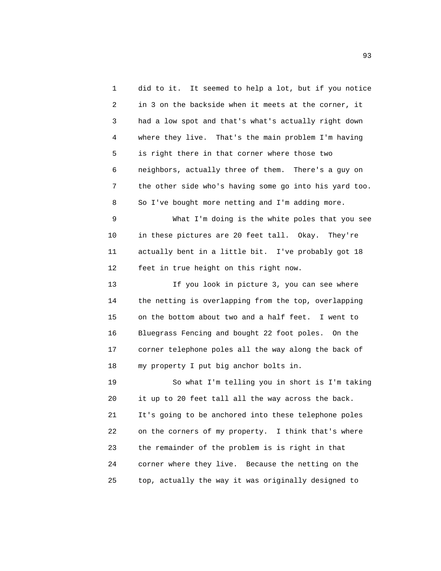1 did to it. It seemed to help a lot, but if you notice 2 in 3 on the backside when it meets at the corner, it 3 had a low spot and that's what's actually right down 4 where they live. That's the main problem I'm having 5 is right there in that corner where those two 6 neighbors, actually three of them. There's a guy on 7 the other side who's having some go into his yard too. 8 So I've bought more netting and I'm adding more.

 9 What I'm doing is the white poles that you see 10 in these pictures are 20 feet tall. Okay. They're 11 actually bent in a little bit. I've probably got 18 12 feet in true height on this right now.

 13 If you look in picture 3, you can see where 14 the netting is overlapping from the top, overlapping 15 on the bottom about two and a half feet. I went to 16 Bluegrass Fencing and bought 22 foot poles. On the 17 corner telephone poles all the way along the back of 18 my property I put big anchor bolts in.

 19 So what I'm telling you in short is I'm taking 20 it up to 20 feet tall all the way across the back. 21 It's going to be anchored into these telephone poles 22 on the corners of my property. I think that's where 23 the remainder of the problem is is right in that 24 corner where they live. Because the netting on the 25 top, actually the way it was originally designed to

experience of the contract of the contract of the contract of the contract of the contract of the contract of the contract of the contract of the contract of the contract of the contract of the contract of the contract of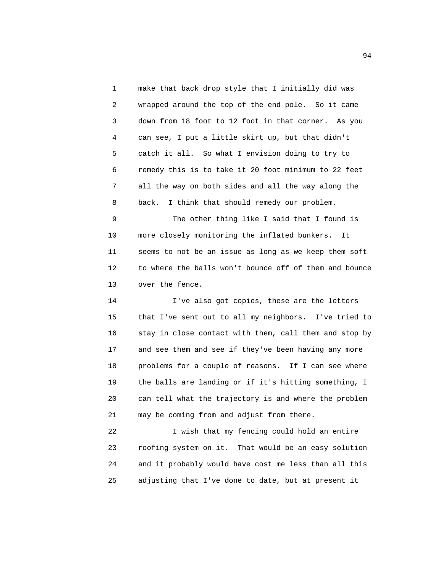1 make that back drop style that I initially did was 2 wrapped around the top of the end pole. So it came 3 down from 18 foot to 12 foot in that corner. As you 4 can see, I put a little skirt up, but that didn't 5 catch it all. So what I envision doing to try to 6 remedy this is to take it 20 foot minimum to 22 feet 7 all the way on both sides and all the way along the 8 back. I think that should remedy our problem.

 9 The other thing like I said that I found is 10 more closely monitoring the inflated bunkers. It 11 seems to not be an issue as long as we keep them soft 12 to where the balls won't bounce off of them and bounce 13 over the fence.

 14 I've also got copies, these are the letters 15 that I've sent out to all my neighbors. I've tried to 16 stay in close contact with them, call them and stop by 17 and see them and see if they've been having any more 18 problems for a couple of reasons. If I can see where 19 the balls are landing or if it's hitting something, I 20 can tell what the trajectory is and where the problem 21 may be coming from and adjust from there.

 22 I wish that my fencing could hold an entire 23 roofing system on it. That would be an easy solution 24 and it probably would have cost me less than all this 25 adjusting that I've done to date, but at present it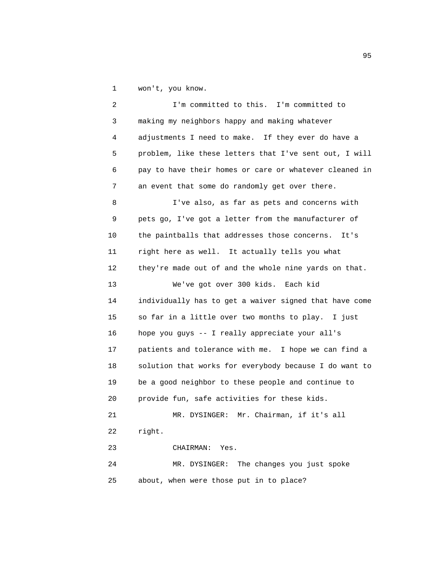1 won't, you know.

 2 I'm committed to this. I'm committed to 3 making my neighbors happy and making whatever 4 adjustments I need to make. If they ever do have a 5 problem, like these letters that I've sent out, I will 6 pay to have their homes or care or whatever cleaned in 7 an event that some do randomly get over there. 8 I've also, as far as pets and concerns with 9 pets go, I've got a letter from the manufacturer of 10 the paintballs that addresses those concerns. It's 11 right here as well. It actually tells you what 12 they're made out of and the whole nine yards on that. 13 We've got over 300 kids. Each kid 14 individually has to get a waiver signed that have come 15 so far in a little over two months to play. I just 16 hope you guys -- I really appreciate your all's 17 patients and tolerance with me. I hope we can find a 18 solution that works for everybody because I do want to 19 be a good neighbor to these people and continue to 20 provide fun, safe activities for these kids. 21 MR. DYSINGER: Mr. Chairman, if it's all 22 right. 23 CHAIRMAN: Yes. 24 MR. DYSINGER: The changes you just spoke 25 about, when were those put in to place?

experience of the contract of the contract of the contract of the contract of the contract of the contract of the contract of the contract of the contract of the contract of the contract of the contract of the contract of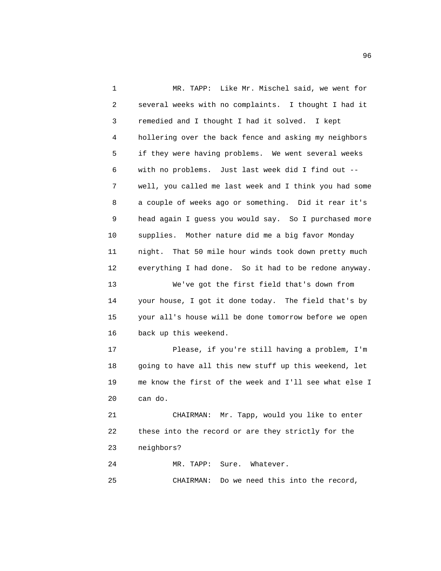1 MR. TAPP: Like Mr. Mischel said, we went for 2 several weeks with no complaints. I thought I had it 3 remedied and I thought I had it solved. I kept 4 hollering over the back fence and asking my neighbors 5 if they were having problems. We went several weeks 6 with no problems. Just last week did I find out -- 7 well, you called me last week and I think you had some 8 a couple of weeks ago or something. Did it rear it's 9 head again I guess you would say. So I purchased more 10 supplies. Mother nature did me a big favor Monday 11 night. That 50 mile hour winds took down pretty much 12 everything I had done. So it had to be redone anyway. 13 We've got the first field that's down from 14 your house, I got it done today. The field that's by 15 your all's house will be done tomorrow before we open 16 back up this weekend. 17 Please, if you're still having a problem, I'm 18 going to have all this new stuff up this weekend, let 19 me know the first of the week and I'll see what else I 20 can do. 21 CHAIRMAN: Mr. Tapp, would you like to enter 22 these into the record or are they strictly for the 23 neighbors?

 24 MR. TAPP: Sure. Whatever. 25 CHAIRMAN: Do we need this into the record,

en de la construction de la construction de la construction de la construction de la construction de la constr<br>1960 : le construction de la construction de la construction de la construction de la construction de la const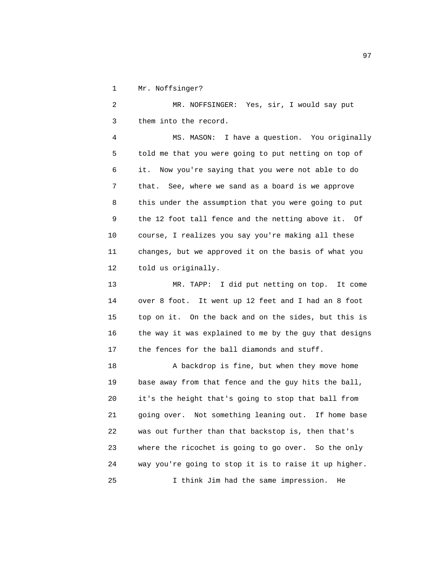1 Mr. Noffsinger?

 2 MR. NOFFSINGER: Yes, sir, I would say put 3 them into the record.

 4 MS. MASON: I have a question. You originally 5 told me that you were going to put netting on top of 6 it. Now you're saying that you were not able to do 7 that. See, where we sand as a board is we approve 8 this under the assumption that you were going to put 9 the 12 foot tall fence and the netting above it. Of 10 course, I realizes you say you're making all these 11 changes, but we approved it on the basis of what you 12 told us originally.

 13 MR. TAPP: I did put netting on top. It come 14 over 8 foot. It went up 12 feet and I had an 8 foot 15 top on it. On the back and on the sides, but this is 16 the way it was explained to me by the guy that designs 17 the fences for the ball diamonds and stuff.

 18 A backdrop is fine, but when they move home 19 base away from that fence and the guy hits the ball, 20 it's the height that's going to stop that ball from 21 going over. Not something leaning out. If home base 22 was out further than that backstop is, then that's 23 where the ricochet is going to go over. So the only 24 way you're going to stop it is to raise it up higher. 25 I think Jim had the same impression. He

experience of the contract of the contract of the contract of the contract of the contract of the contract of the contract of the contract of the contract of the contract of the contract of the contract of the contract of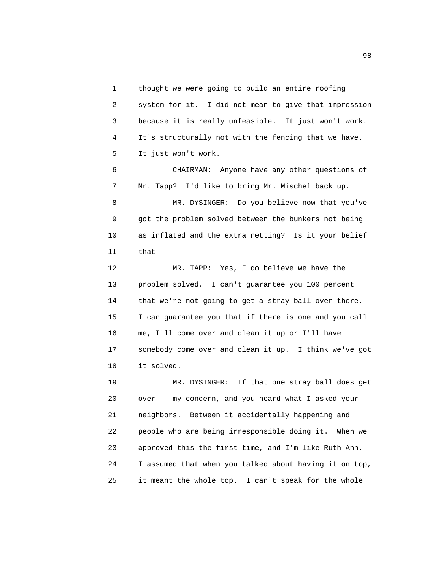1 thought we were going to build an entire roofing 2 system for it. I did not mean to give that impression 3 because it is really unfeasible. It just won't work. 4 It's structurally not with the fencing that we have. 5 It just won't work.

 6 CHAIRMAN: Anyone have any other questions of 7 Mr. Tapp? I'd like to bring Mr. Mischel back up. 8 MR. DYSINGER: Do you believe now that you've 9 got the problem solved between the bunkers not being 10 as inflated and the extra netting? Is it your belief 11 that --

 12 MR. TAPP: Yes, I do believe we have the 13 problem solved. I can't guarantee you 100 percent 14 that we're not going to get a stray ball over there. 15 I can guarantee you that if there is one and you call 16 me, I'll come over and clean it up or I'll have 17 somebody come over and clean it up. I think we've got 18 it solved.

 19 MR. DYSINGER: If that one stray ball does get 20 over -- my concern, and you heard what I asked your 21 neighbors. Between it accidentally happening and 22 people who are being irresponsible doing it. When we 23 approved this the first time, and I'm like Ruth Ann. 24 I assumed that when you talked about having it on top, 25 it meant the whole top. I can't speak for the whole

en de la construction de la construction de la construction de la construction de la construction de la constr<br>1980 : le construction de la construction de la construction de la construction de la construction de la const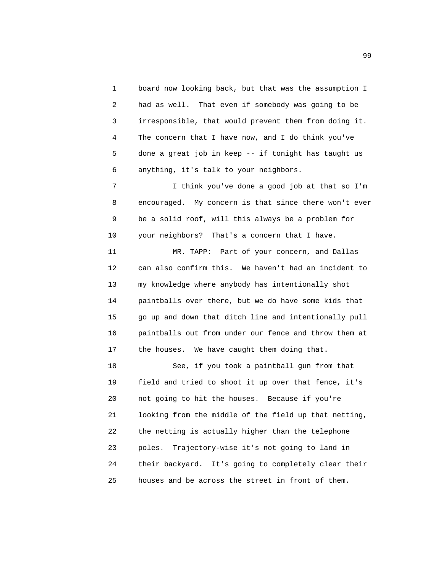1 board now looking back, but that was the assumption I 2 had as well. That even if somebody was going to be 3 irresponsible, that would prevent them from doing it. 4 The concern that I have now, and I do think you've 5 done a great job in keep -- if tonight has taught us 6 anything, it's talk to your neighbors.

 7 I think you've done a good job at that so I'm 8 encouraged. My concern is that since there won't ever 9 be a solid roof, will this always be a problem for 10 your neighbors? That's a concern that I have.

 11 MR. TAPP: Part of your concern, and Dallas 12 can also confirm this. We haven't had an incident to 13 my knowledge where anybody has intentionally shot 14 paintballs over there, but we do have some kids that 15 go up and down that ditch line and intentionally pull 16 paintballs out from under our fence and throw them at 17 the houses. We have caught them doing that.

 18 See, if you took a paintball gun from that 19 field and tried to shoot it up over that fence, it's 20 not going to hit the houses. Because if you're 21 looking from the middle of the field up that netting, 22 the netting is actually higher than the telephone 23 poles. Trajectory-wise it's not going to land in 24 their backyard. It's going to completely clear their 25 houses and be across the street in front of them.

en de la construction de la construction de la construction de la construction de la construction de la constr<br>1990 : le construction de la construction de la construction de la construction de la construction de la const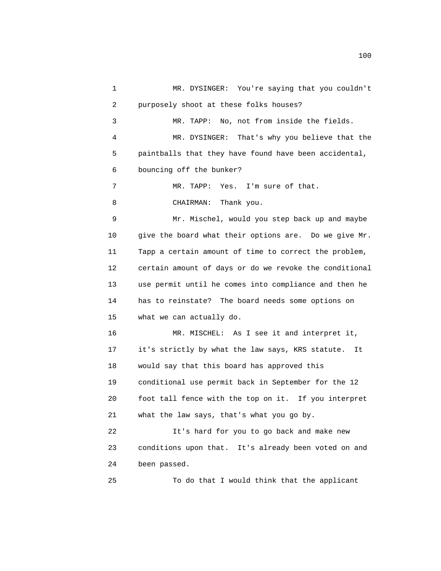1 MR. DYSINGER: You're saying that you couldn't 2 purposely shoot at these folks houses? 3 MR. TAPP: No, not from inside the fields. 4 MR. DYSINGER: That's why you believe that the 5 paintballs that they have found have been accidental, 6 bouncing off the bunker? 7 MR. TAPP: Yes. I'm sure of that. 8 CHAIRMAN: Thank you. 9 Mr. Mischel, would you step back up and maybe 10 give the board what their options are. Do we give Mr. 11 Tapp a certain amount of time to correct the problem, 12 certain amount of days or do we revoke the conditional 13 use permit until he comes into compliance and then he 14 has to reinstate? The board needs some options on 15 what we can actually do. 16 MR. MISCHEL: As I see it and interpret it, 17 it's strictly by what the law says, KRS statute. It 18 would say that this board has approved this 19 conditional use permit back in September for the 12 20 foot tall fence with the top on it. If you interpret 21 what the law says, that's what you go by. 22 It's hard for you to go back and make new 23 conditions upon that. It's already been voted on and 24 been passed. 25 To do that I would think that the applicant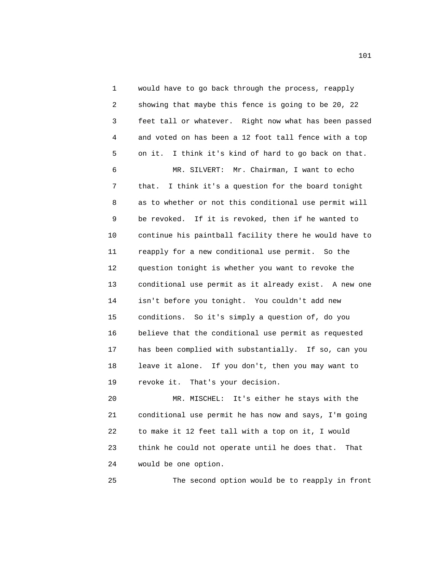1 would have to go back through the process, reapply 2 showing that maybe this fence is going to be 20, 22 3 feet tall or whatever. Right now what has been passed 4 and voted on has been a 12 foot tall fence with a top 5 on it. I think it's kind of hard to go back on that.

 6 MR. SILVERT: Mr. Chairman, I want to echo 7 that. I think it's a question for the board tonight 8 as to whether or not this conditional use permit will 9 be revoked. If it is revoked, then if he wanted to 10 continue his paintball facility there he would have to 11 reapply for a new conditional use permit. So the 12 question tonight is whether you want to revoke the 13 conditional use permit as it already exist. A new one 14 isn't before you tonight. You couldn't add new 15 conditions. So it's simply a question of, do you 16 believe that the conditional use permit as requested 17 has been complied with substantially. If so, can you 18 leave it alone. If you don't, then you may want to 19 revoke it. That's your decision.

 20 MR. MISCHEL: It's either he stays with the 21 conditional use permit he has now and says, I'm going 22 to make it 12 feet tall with a top on it, I would 23 think he could not operate until he does that. That 24 would be one option.

25 The second option would be to reapply in front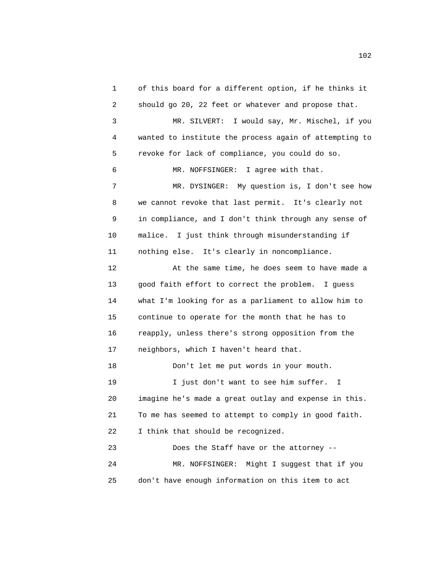1 of this board for a different option, if he thinks it 2 should go 20, 22 feet or whatever and propose that. 3 MR. SILVERT: I would say, Mr. Mischel, if you 4 wanted to institute the process again of attempting to 5 revoke for lack of compliance, you could do so. 6 MR. NOFFSINGER: I agree with that. 7 MR. DYSINGER: My question is, I don't see how 8 we cannot revoke that last permit. It's clearly not 9 in compliance, and I don't think through any sense of 10 malice. I just think through misunderstanding if 11 nothing else. It's clearly in noncompliance. 12 At the same time, he does seem to have made a 13 good faith effort to correct the problem. I guess 14 what I'm looking for as a parliament to allow him to 15 continue to operate for the month that he has to 16 reapply, unless there's strong opposition from the 17 neighbors, which I haven't heard that. 18 Don't let me put words in your mouth. 19 I just don't want to see him suffer. I 20 imagine he's made a great outlay and expense in this. 21 To me has seemed to attempt to comply in good faith. 22 I think that should be recognized. 23 Does the Staff have or the attorney -- 24 MR. NOFFSINGER: Might I suggest that if you 25 don't have enough information on this item to act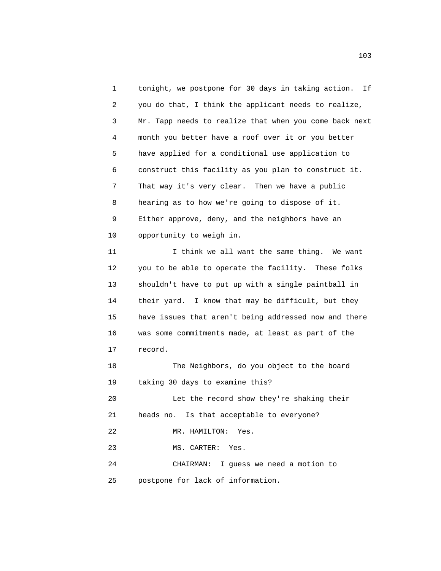1 tonight, we postpone for 30 days in taking action. If 2 you do that, I think the applicant needs to realize, 3 Mr. Tapp needs to realize that when you come back next 4 month you better have a roof over it or you better 5 have applied for a conditional use application to 6 construct this facility as you plan to construct it. 7 That way it's very clear. Then we have a public 8 hearing as to how we're going to dispose of it. 9 Either approve, deny, and the neighbors have an 10 opportunity to weigh in. 11 I think we all want the same thing. We want 12 you to be able to operate the facility. These folks 13 shouldn't have to put up with a single paintball in 14 their yard. I know that may be difficult, but they 15 have issues that aren't being addressed now and there 16 was some commitments made, at least as part of the 17 record. 18 The Neighbors, do you object to the board 19 taking 30 days to examine this? 20 Let the record show they're shaking their 21 heads no. Is that acceptable to everyone? 22 MR. HAMILTON: Yes. 23 MS. CARTER: Yes. 24 CHAIRMAN: I guess we need a motion to

25 postpone for lack of information.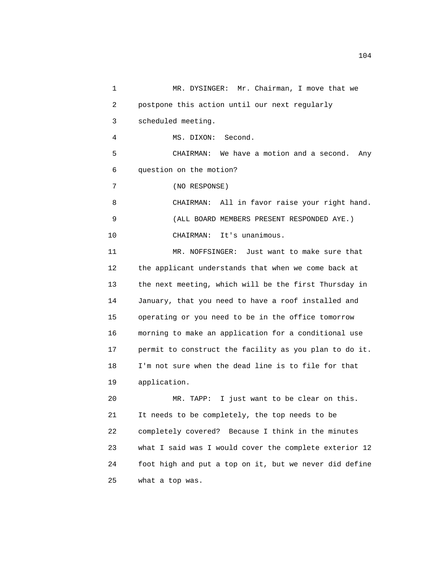1 MR. DYSINGER: Mr. Chairman, I move that we 2 postpone this action until our next regularly 3 scheduled meeting. 4 MS. DIXON: Second. 5 CHAIRMAN: We have a motion and a second. Any 6 question on the motion? 7 (NO RESPONSE) 8 CHAIRMAN: All in favor raise your right hand. 9 (ALL BOARD MEMBERS PRESENT RESPONDED AYE.) 10 CHAIRMAN: It's unanimous. 11 MR. NOFFSINGER: Just want to make sure that 12 the applicant understands that when we come back at 13 the next meeting, which will be the first Thursday in 14 January, that you need to have a roof installed and 15 operating or you need to be in the office tomorrow 16 morning to make an application for a conditional use 17 permit to construct the facility as you plan to do it. 18 I'm not sure when the dead line is to file for that 19 application. 20 MR. TAPP: I just want to be clear on this. 21 It needs to be completely, the top needs to be 22 completely covered? Because I think in the minutes 23 what I said was I would cover the complete exterior 12 24 foot high and put a top on it, but we never did define

25 what a top was.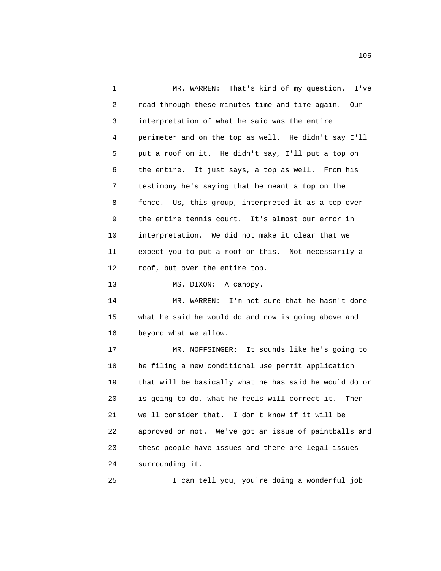1 MR. WARREN: That's kind of my question. I've 2 read through these minutes time and time again. Our 3 interpretation of what he said was the entire 4 perimeter and on the top as well. He didn't say I'll 5 put a roof on it. He didn't say, I'll put a top on 6 the entire. It just says, a top as well. From his 7 testimony he's saying that he meant a top on the 8 fence. Us, this group, interpreted it as a top over 9 the entire tennis court. It's almost our error in 10 interpretation. We did not make it clear that we 11 expect you to put a roof on this. Not necessarily a 12 roof, but over the entire top.

13 MS. DIXON: A canopy.

 14 MR. WARREN: I'm not sure that he hasn't done 15 what he said he would do and now is going above and 16 beyond what we allow.

 17 MR. NOFFSINGER: It sounds like he's going to 18 be filing a new conditional use permit application 19 that will be basically what he has said he would do or 20 is going to do, what he feels will correct it. Then 21 we'll consider that. I don't know if it will be 22 approved or not. We've got an issue of paintballs and 23 these people have issues and there are legal issues 24 surrounding it.

25 I can tell you, you're doing a wonderful job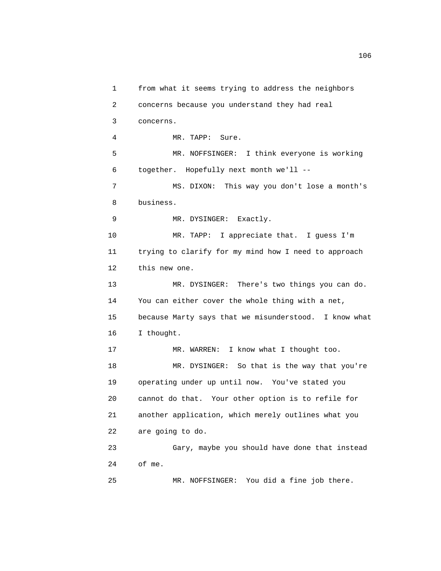1 from what it seems trying to address the neighbors 2 concerns because you understand they had real 3 concerns. 4 MR. TAPP: Sure. 5 MR. NOFFSINGER: I think everyone is working 6 together. Hopefully next month we'll -- 7 MS. DIXON: This way you don't lose a month's 8 business. 9 MR. DYSINGER: Exactly. 10 MR. TAPP: I appreciate that. I guess I'm 11 trying to clarify for my mind how I need to approach 12 this new one. 13 MR. DYSINGER: There's two things you can do. 14 You can either cover the whole thing with a net, 15 because Marty says that we misunderstood. I know what 16 I thought. 17 MR. WARREN: I know what I thought too. 18 MR. DYSINGER: So that is the way that you're 19 operating under up until now. You've stated you 20 cannot do that. Your other option is to refile for 21 another application, which merely outlines what you 22 are going to do. 23 Gary, maybe you should have done that instead 24 of me. 25 MR. NOFFSINGER: You did a fine job there.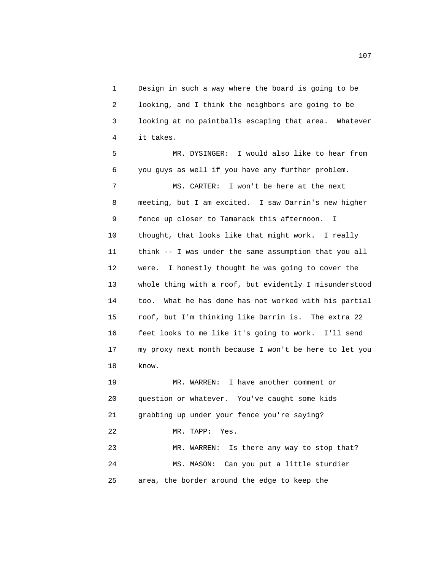1 Design in such a way where the board is going to be 2 looking, and I think the neighbors are going to be 3 looking at no paintballs escaping that area. Whatever 4 it takes.

 5 MR. DYSINGER: I would also like to hear from 6 you guys as well if you have any further problem. 7 MS. CARTER: I won't be here at the next 8 meeting, but I am excited. I saw Darrin's new higher 9 fence up closer to Tamarack this afternoon. I 10 thought, that looks like that might work. I really 11 think -- I was under the same assumption that you all 12 were. I honestly thought he was going to cover the 13 whole thing with a roof, but evidently I misunderstood 14 too. What he has done has not worked with his partial 15 roof, but I'm thinking like Darrin is. The extra 22 16 feet looks to me like it's going to work. I'll send 17 my proxy next month because I won't be here to let you 18 know.

 19 MR. WARREN: I have another comment or 20 question or whatever. You've caught some kids 21 grabbing up under your fence you're saying? 22 MR. TAPP: Yes. 23 MR. WARREN: Is there any way to stop that? 24 MS. MASON: Can you put a little sturdier 25 area, the border around the edge to keep the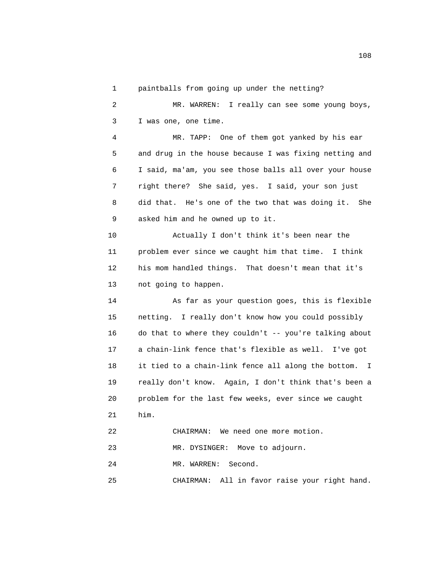1 paintballs from going up under the netting?

 2 MR. WARREN: I really can see some young boys, 3 I was one, one time.

 4 MR. TAPP: One of them got yanked by his ear 5 and drug in the house because I was fixing netting and 6 I said, ma'am, you see those balls all over your house 7 right there? She said, yes. I said, your son just 8 did that. He's one of the two that was doing it. She 9 asked him and he owned up to it.

 10 Actually I don't think it's been near the 11 problem ever since we caught him that time. I think 12 his mom handled things. That doesn't mean that it's 13 not going to happen.

 14 As far as your question goes, this is flexible 15 netting. I really don't know how you could possibly 16 do that to where they couldn't -- you're talking about 17 a chain-link fence that's flexible as well. I've got 18 it tied to a chain-link fence all along the bottom. I 19 really don't know. Again, I don't think that's been a 20 problem for the last few weeks, ever since we caught 21 him.

22 CHAIRMAN: We need one more motion.

23 MR. DYSINGER: Move to adjourn.

24 MR. WARREN: Second.

25 CHAIRMAN: All in favor raise your right hand.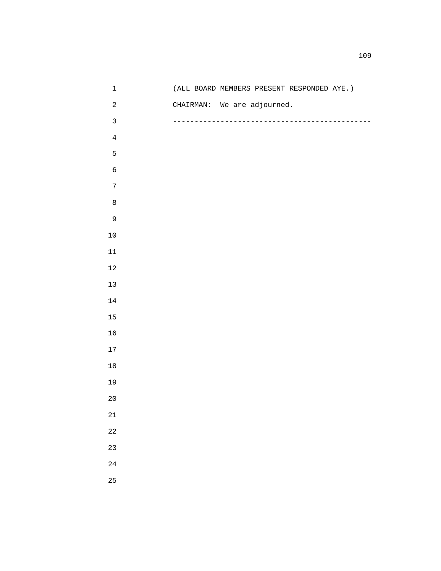| $\mathbf 1$  | (ALL BOARD MEMBERS PRESENT RESPONDED AYE.) |
|--------------|--------------------------------------------|
| $\sqrt{2}$   | CHAIRMAN: We are adjourned.                |
| $\mathsf{3}$ |                                            |
| $\bf 4$      |                                            |
| 5            |                                            |
| $\epsilon$   |                                            |
| $\sqrt{ }$   |                                            |
| $\,8\,$      |                                            |
| 9            |                                            |
| $10$         |                                            |
| $11\,$       |                                            |
| $12\,$       |                                            |
| 13           |                                            |
| $14\,$       |                                            |
| 15           |                                            |
| 16           |                                            |
| $17\,$       |                                            |
| $18\,$       |                                            |
| 19           |                                            |
| $20$         |                                            |
| $21\,$       |                                            |
| $2\sqrt{2}$  |                                            |
| 23           |                                            |
| 24           |                                            |
| 25           |                                            |